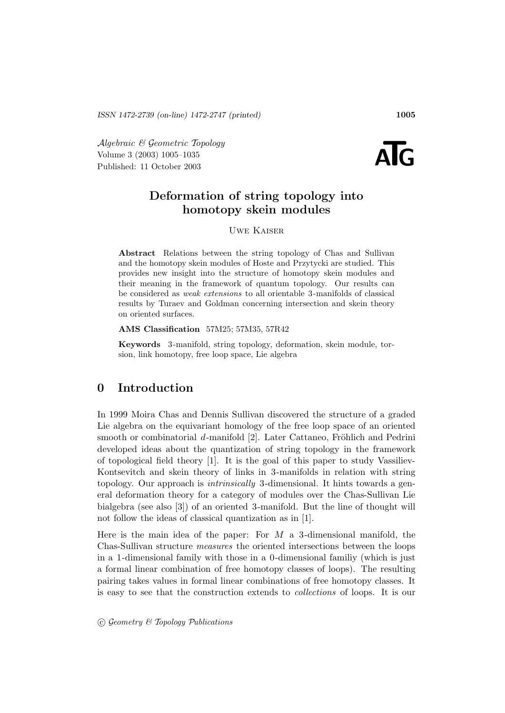Algebraic & Geometric Topology<br>
Volume 3 (2003) 1005–1035<br>
Published: 11 October 2003 Volume 3 (2003) 1005–1035



# **Deformation of string topology into homotopy skein modules**

Uwe Kaiser

**Abstract** Relations between the string topology of Chas and Sullivan and the homotopy skein modules of Hoste and Przytycki are studied. This provides new insight into the structure of homotopy skein modules and their meaning in the framework of quantum topology. Our results can be considered as weak extensions to all orientable 3 -manifolds of classical results by Turaev and Goldman concerning intersection and skein theory on oriented surfaces.

**AMS Classification** 57M25; 57M35, 57R42

**Keywords** 3 -manifold, string topology, deformation, skein module, torsion, link homotopy, free loop space, Lie algebra

# **0 Introduction**

In 1999 Moira Chas and Dennis Sullivan discovered the structure of a graded Lie algebra on the equivariant homology of the free loop space of an oriented smooth or combinatorial d-manifold  $[2]$ . Later Cattaneo, Fröhlich and Pedrini developed ideas about the quantization of string topology in the framework of topological field theory [1]. It is the goal of this paper to study Vassiliev-Kontsevitch and skein theory of links in 3-manifolds in relation with string topology. Our approach is intrinsically 3-dimensional. It hints towards a general deformation theory for a category of modules over the Chas-Sullivan Lie bialgebra (see also [3]) of an oriented 3-manifold. But the line of thought will not follow the ideas of classical quantization as in [1].

Here is the main idea of the paper: For  $M$  a 3-dimensional manifold, the Chas-Sullivan structure measures the oriented intersections between the loops in a 1-dimensional family with those in a 0-dimensional familiy (which is just a formal linear combination of free homotopy classes of loops). The resulting pairing takes values in formal linear combinations of free homotopy classes. It is easy to see that the construction extends to collections of loops. It is our

 $\odot$  Geometry & Topology Publications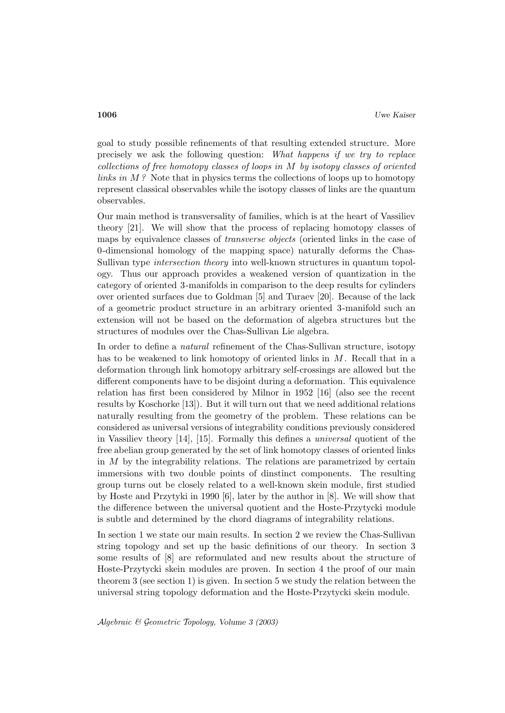goal to study possible refinements of that resulting extended structure. More precisely we ask the following question: What happens if we try to replace collections of free homotopy classes of loops in M by isotopy classes of oriented links in  $M$ ? Note that in physics terms the collections of loops up to homotopy represent classical observables while the isotopy classes of links are the quantum observables.

Our main method is transversality of families, which is at the heart of Vassiliev theory [21]. We will show that the process of replacing homotopy classes of maps by equivalence classes of *transverse objects* (oriented links in the case of 0-dimensional homology of the mapping space) naturally deforms the Chas-Sullivan type intersection theory into well-known structures in quantum topology. Thus our approach provides a weakened version of quantization in the category of oriented 3-manifolds in comparison to the deep results for cylinders over oriented surfaces due to Goldman [5] and Turaev [20]. Because of the lack of a geometric product structure in an arbitrary oriented 3-manifold such an extension will not be based on the deformation of algebra structures but the structures of modules over the Chas-Sullivan Lie algebra.

In order to define a natural refinement of the Chas-Sullivan structure, isotopy has to be weakened to link homotopy of oriented links in  $M$ . Recall that in a deformation through link homotopy arbitrary self-crossings are allowed but the different components have to be disjoint during a deformation. This equivalence relation has first been considered by Milnor in 1952 [16] (also see the recent results by Koschorke [13]). But it will turn out that we need additional relations naturally resulting from the geometry of the problem. These relations can be considered as universal versions of integrability conditions previously considered in Vassiliev theory [14], [15]. Formally this defines a universal quotient of the free abelian group generated by the set of link homotopy classes of oriented links in  $M$  by the integrability relations. The relations are parametrized by certain immersions with two double points of dinstinct components. The resulting group turns out be closely related to a well-known skein module, first studied by Hoste and Przytyki in 1990 [6], later by the author in [8]. We will show that the difference between the universal quotient and the Hoste-Przytycki module is subtle and determined by the chord diagrams of integrability relations.

In section 1 we state our main results. In section 2 we review the Chas-Sullivan string topology and set up the basic definitions of our theory. In section 3 some results of [8] are reformulated and new results about the structure of Hoste-Przytycki skein modules are proven. In section 4 the proof of our main theorem 3 (see section 1) is given. In section 5 we study the relation between the universal string topology deformation and the Hoste-Przytycki skein module.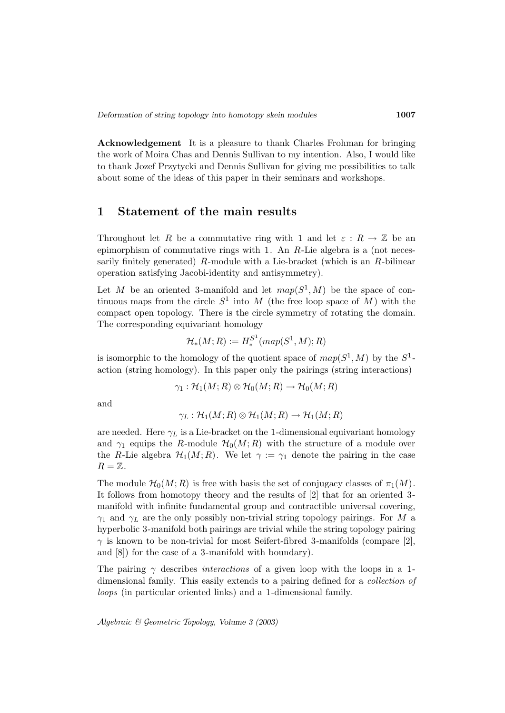**Acknowledgement** It is a pleasure to thank Charles Frohman for bringing the work of Moira Chas and Dennis Sullivan to my intention. Also, I would like to thank Jozef Przytycki and Dennis Sullivan for giving me possibilities to talk about some of the ideas of this paper in their seminars and workshops.

## **1 Statement of the main results**

Throughout let R be a commutative ring with 1 and let  $\varepsilon : R \to \mathbb{Z}$  be an epimorphism of commutative rings with 1. An  $R$ -Lie algebra is a (not necessarily finitely generated)  $R$ -module with a Lie-bracket (which is an  $R$ -bilinear operation satisfying Jacobi-identity and antisymmetry).

Let M be an oriented 3-manifold and let  $map(S^1, M)$  be the space of continuous maps from the circle  $S^1$  into M (the free loop space of M) with the compact open topology. There is the circle symmetry of rotating the domain. The corresponding equivariant homology

$$
\mathcal{H}_*(M;R) := H^{S^1}_*(map(S^1,M);R)
$$

is isomorphic to the homology of the quotient space of  $map(S^1, M)$  by the  $S^1$ action (string homology). In this paper only the pairings (string interactions)

$$
\gamma_1: \mathcal{H}_1(M; R) \otimes \mathcal{H}_0(M; R) \to \mathcal{H}_0(M; R)
$$

and

$$
\gamma_L : \mathcal{H}_1(M;R) \otimes \mathcal{H}_1(M;R) \to \mathcal{H}_1(M;R)
$$

are needed. Here  $\gamma_L$  is a Lie-bracket on the 1-dimensional equivariant homology and  $\gamma_1$  equips the R-module  $\mathcal{H}_0(M;R)$  with the structure of a module over the R-Lie algebra  $\mathcal{H}_1(M;R)$ . We let  $\gamma := \gamma_1$  denote the pairing in the case  $R=\mathbb{Z}$ .

The module  $\mathcal{H}_0(M; R)$  is free with basis the set of conjugacy classes of  $\pi_1(M)$ . It follows from homotopy theory and the results of [2] that for an oriented 3 manifold with infinite fundamental group and contractible universal covering,  $\gamma_1$  and  $\gamma_L$  are the only possibly non-trivial string topology pairings. For M a hyperbolic 3-manifold both pairings are trivial while the string topology pairing  $\gamma$  is known to be non-trivial for most Seifert-fibred 3-manifolds (compare [2], and [8]) for the case of a 3-manifold with boundary).

The pairing  $\gamma$  describes *interactions* of a given loop with the loops in a 1dimensional family. This easily extends to a pairing defined for a collection of loops (in particular oriented links) and a 1-dimensional family.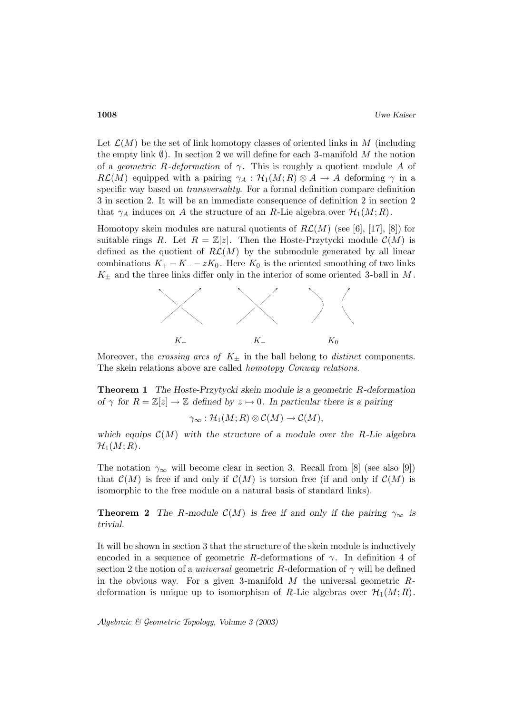Let  $\mathcal{L}(M)$  be the set of link homotopy classes of oriented links in M (including the empty link  $\emptyset$ ). In section 2 we will define for each 3-manifold M the notion of a *geometric R-deformation* of  $\gamma$ . This is roughly a quotient module A of  $R\mathcal{L}(M)$  equipped with a pairing  $\gamma_A : \mathcal{H}_1(M; R) \otimes A \to A$  deforming  $\gamma$  in a specific way based on *transversality*. For a formal definition compare definition 3 in section 2. It will be an immediate consequence of definition 2 in section 2 that  $\gamma_A$  induces on A the structure of an R-Lie algebra over  $\mathcal{H}_1(M; R)$ .

Homotopy skein modules are natural quotients of  $R\mathcal{L}(M)$  (see [6], [17], [8]) for suitable rings R. Let  $R = \mathbb{Z}[z]$ . Then the Hoste-Przytycki module  $\mathcal{C}(M)$  is defined as the quotient of  $R\mathcal{L}(M)$  by the submodule generated by all linear combinations  $K_+ - K_- - zK_0$ . Here  $K_0$  is the oriented smoothing of two links  $K_{+}$  and the three links differ only in the interior of some oriented 3-ball in M.



Moreover, the *crossing arcs of*  $K_{\pm}$  in the ball belong to *distinct* components. The skein relations above are called *homotopy Conway relations*.

**Theorem 1** *The Hoste-Przytycki skein module is a geometric* R*-deformation of*  $\gamma$  *for*  $R = \mathbb{Z}[z] \rightarrow \mathbb{Z}$  *defined by*  $z \mapsto 0$ *. In particular there is a pairing* 

$$
\gamma_\infty: \mathcal{H}_1(M;R) \otimes \mathcal{C}(M) \to \mathcal{C}(M),
$$

which equips  $\mathcal{C}(M)$  with the structure of a module over the R-Lie algebra  $\mathcal{H}_1(M;R)$ .

The notation  $\gamma_{\infty}$  will become clear in section 3. Recall from [8] (see also [9]) that  $\mathcal{C}(M)$  is free if and only if  $\mathcal{C}(M)$  is torsion free (if and only if  $\mathcal{C}(M)$ ) is isomorphic to the free module on a natural basis of standard links).

**Theorem 2** *The* R-module  $\mathcal{C}(M)$  *is free if and only if the pairing*  $\gamma_{\infty}$  *is trivial.*

It will be shown in section 3 that the structure of the skein module is inductively encoded in a sequence of geometric R-deformations of  $\gamma$ . In definition 4 of section 2 the notion of a *universal* geometric R-deformation of  $\gamma$  will be defined in the obvious way. For a given 3-manifold  $M$  the universal geometric  $R$ deformation is unique up to isomorphism of R-Lie algebras over  $\mathcal{H}_1(M;R)$ .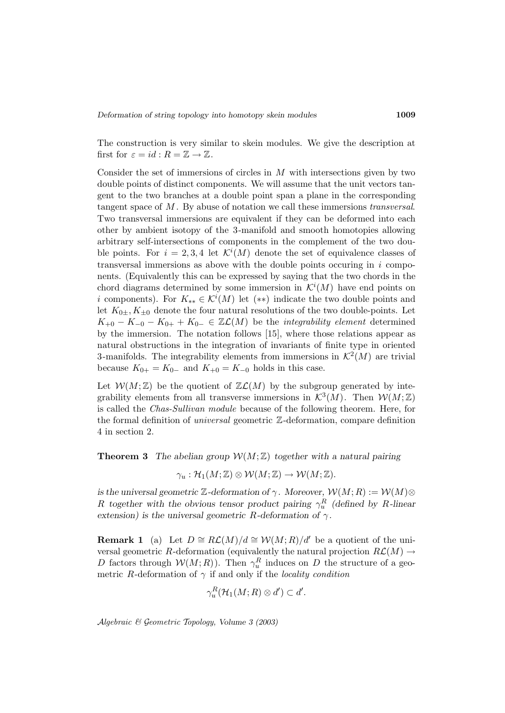The construction is very similar to skein modules. We give the description at first for  $\varepsilon = id : R = \mathbb{Z} \to \mathbb{Z}$ .

Consider the set of immersions of circles in M with intersections given by two double points of distinct components. We will assume that the unit vectors tangent to the two branches at a double point span a plane in the corresponding tangent space of M . By abuse of notation we call these immersions transversal. Two transversal immersions are equivalent if they can be deformed into each other by ambient isotopy of the 3-manifold and smooth homotopies allowing arbitrary self-intersections of components in the complement of the two double points. For  $i = 2, 3, 4$  let  $\mathcal{K}^i(M)$  denote the set of equivalence classes of transversal immersions as above with the double points occuring in  $i$  components. (Equivalently this can be expressed by saying that the two chords in the chord diagrams determined by some immersion in  $\mathcal{K}^{i}(M)$  have end points on *i* components). For  $K_{**} \in \mathcal{K}^i(M)$  let  $(**)$  indicate the two double points and let  $K_{0\pm}$ ,  $K_{\pm 0}$  denote the four natural resolutions of the two double-points. Let  $K_{+0} - K_{-0} - K_{0+} + K_{0-} \in \mathbb{Z}(\mathcal{L}(M))$  be the *integrability element* determined by the immersion. The notation follows [15], where those relations appear as natural obstructions in the integration of invariants of finite type in oriented 3-manifolds. The integrability elements from immersions in  $\mathcal{K}^2(M)$  are trivial because  $K_{0+} = K_{0-}$  and  $K_{+0} = K_{-0}$  holds in this case.

Let  $W(M;\mathbb{Z})$  be the quotient of  $\mathbb{Z}\mathcal{L}(M)$  by the subgroup generated by integrability elements from all transverse immersions in  $\mathcal{K}^{3}(M)$ . Then  $\mathcal{W}(M;\mathbb{Z})$ is called the Chas-Sullivan module because of the following theorem. Here, for the formal definition of universal geometric Z-deformation, compare definition 4 in section 2.

**Theorem 3** The abelian group  $W(M;\mathbb{Z})$  together with a natural pairing

$$
\gamma_u:\mathcal{H}_1(M;\mathbb{Z})\otimes\mathcal{W}(M;\mathbb{Z})\to\mathcal{W}(M;\mathbb{Z}).
$$

*is the universal geometric* Z-deformation of  $\gamma$ *. Moreover,*  $\mathcal{W}(M; R) := \mathcal{W}(M) \otimes$ R together with the obvious tensor product pairing  $\gamma_u^R$  (defined by R-linear *extension) is the universal geometric* R-deformation of  $\gamma$ .

**Remark 1** (a) Let  $D \cong R\mathcal{L}(M)/d \cong \mathcal{W}(M;R)/d'$  be a quotient of the universal geometric R-deformation (equivalently the natural projection  $R\mathcal{L}(M) \rightarrow$ D factors through  $W(M; R)$ ). Then  $\gamma_u^R$  induces on D the structure of a geometric R-deformation of  $\gamma$  if and only if the *locality condition* 

$$
\gamma_u^R(\mathcal{H}_1(M;R)\otimes d')\subset d'.
$$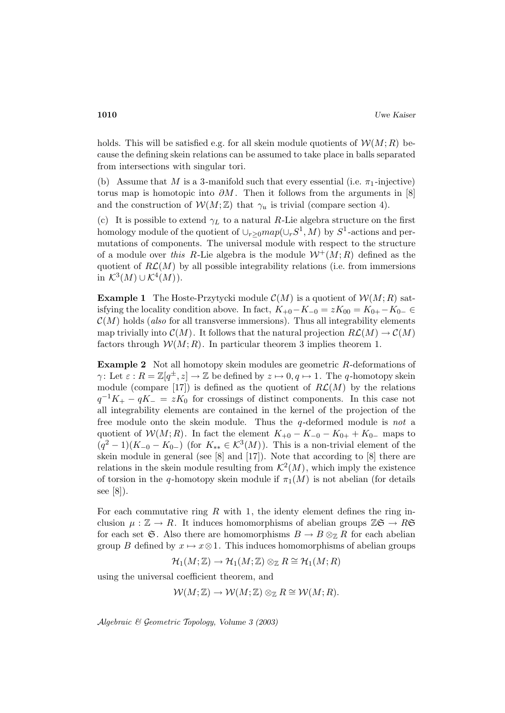holds. This will be satisfied e.g. for all skein module quotients of  $\mathcal{W}(M;R)$  because the defining skein relations can be assumed to take place in balls separated from intersections with singular tori.

(b) Assume that M is a 3-manifold such that every essential (i.e.  $\pi_1$ -injective) torus map is homotopic into  $\partial M$ . Then it follows from the arguments in [8] and the construction of  $\mathcal{W}(M;\mathbb{Z})$  that  $\gamma_u$  is trivial (compare section 4).

(c) It is possible to extend  $\gamma_L$  to a natural R-Lie algebra structure on the first homology module of the quotient of  $\cup_{r>0}map(\cup_rS^1, M)$  by  $S^1$ -actions and permutations of components. The universal module with respect to the structure of a module over this R-Lie algebra is the module  $W^+(M;R)$  defined as the quotient of  $R\mathcal{L}(M)$  by all possible integrability relations (i.e. from immersions in  $\mathcal{K}^3(M) \cup \mathcal{K}^4(M)$ ).

**Example 1** The Hoste-Przytycki module  $C(M)$  is a quotient of  $W(M; R)$  satisfying the locality condition above. In fact,  $K_{+0}-K_{-0} = zK_{00} = K_{0+}-K_{0-} \in$  $\mathcal{C}(M)$  holds (also for all transverse immersions). Thus all integrability elements map trivially into  $\mathcal{C}(M)$ . It follows that the natural projection  $R\mathcal{L}(M) \to \mathcal{C}(M)$ factors through  $W(M; R)$ . In particular theorem 3 implies theorem 1.

**Example 2** Not all homotopy skein modules are geometric R-deformations of  $\gamma$ : Let  $\varepsilon$  :  $R = \mathbb{Z}[q^{\pm}, z] \to \mathbb{Z}$  be defined by  $z \mapsto 0, q \mapsto 1$ . The q-homotopy skein module (compare [17]) is defined as the quotient of  $R\mathcal{L}(M)$  by the relations  $q^{-1}K_+ - qK_- = zK_0$  for crossings of distinct components. In this case not all integrability elements are contained in the kernel of the projection of the free module onto the skein module. Thus the  $q$ -deformed module is not a quotient of  $W(M; R)$ . In fact the element  $K_{+0} - K_{-0} - K_{0+} + K_{0-}$  maps to  $(q^2-1)(K_{-0}-K_{0-})$  (for  $K_{**}\in \mathcal{K}^3(M)$ ). This is a non-trivial element of the skein module in general (see [8] and [17]). Note that according to [8] there are relations in the skein module resulting from  $\mathcal{K}^2(M)$ , which imply the existence of torsion in the q-homotopy skein module if  $\pi_1(M)$  is not abelian (for details see [8]).

For each commutative ring  $R$  with 1, the identy element defines the ring inclusion  $\mu : \mathbb{Z} \to R$ . It induces homomorphisms of abelian groups  $\mathbb{Z} \mathfrak{S} \to R \mathfrak{S}$ for each set G. Also there are homomorphisms  $B \to B \otimes_{\mathbb{Z}} R$  for each abelian group B defined by  $x \mapsto x \otimes 1$ . This induces homomorphisms of abelian groups

 $\mathcal{H}_1(M;\mathbb{Z}) \to \mathcal{H}_1(M;\mathbb{Z}) \otimes_{\mathbb{Z}} R \cong \mathcal{H}_1(M;R)$ 

using the universal coefficient theorem, and

$$
\mathcal{W}(M;\mathbb{Z}) \to \mathcal{W}(M;\mathbb{Z}) \otimes_{\mathbb{Z}} R \cong \mathcal{W}(M;R).
$$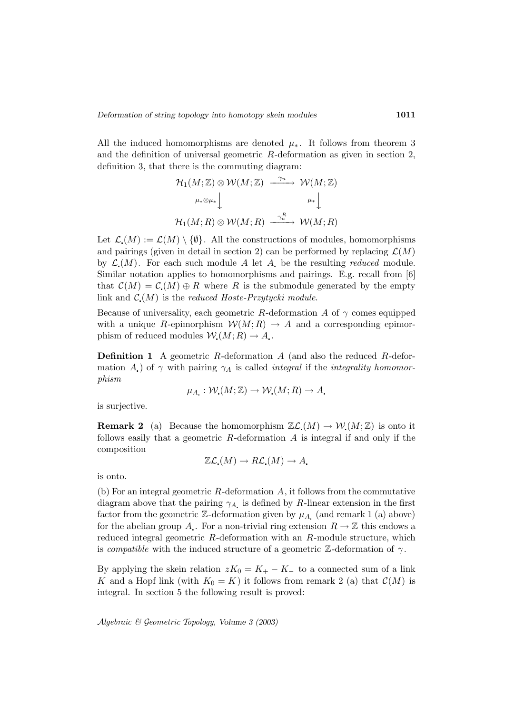All the induced homomorphisms are denoted  $\mu_*$ . It follows from theorem 3 and the definition of universal geometric R-deformation as given in section 2, definition 3, that there is the commuting diagram:

$$
\begin{array}{ccc}\n\mathcal{H}_1(M;\mathbb{Z}) \otimes \mathcal{W}(M;\mathbb{Z}) & \xrightarrow{\gamma_u} & \mathcal{W}(M;\mathbb{Z}) \\
\downarrow^{\mu_* \otimes \mu_*} & & \downarrow^{\mu_*} \downarrow^{\mu_*} \\
\mathcal{H}_1(M;R) \otimes \mathcal{W}(M;R) & \xrightarrow{\gamma_u^R} & \mathcal{W}(M;R)\n\end{array}
$$

Let  $\mathcal{L}(M) := \mathcal{L}(M) \setminus \{\emptyset\}.$  All the constructions of modules, homomorphisms and pairings (given in detail in section 2) can be performed by replacing  $\mathcal{L}(M)$ by  $\mathcal{L}(M)$ . For each such module A let A be the resulting *reduced* module. Similar notation applies to homomorphisms and pairings. E.g. recall from [6] that  $\mathcal{C}(M) = \mathcal{C}(M) \oplus R$  where R is the submodule generated by the empty link and  $\mathcal{C}(M)$  is the reduced Hoste-Przytycki module.

Because of universality, each geometric R-deformation A of  $\gamma$  comes equipped with a unique R-epimorphism  $W(M; R) \to A$  and a corresponding epimorphism of reduced modules  $W(M; R) \to A$ .

**Definition 1** A geometric R-deformation A (and also the reduced R-deformation A) of  $\gamma$  with pairing  $\gamma_A$  is called *integral* if the *integrality homomor*phism

$$
\mu_A: \mathcal{W}(M; \mathbb{Z}) \to \mathcal{W}(M; R) \to A.
$$

is surjective.

**Remark 2** (a) Because the homomorphism  $\mathbb{Z}\mathcal{L}(M) \to \mathcal{W}(M;\mathbb{Z})$  is onto it follows easily that a geometric  $R$ -deformation  $A$  is integral if and only if the composition

$$
\mathbb{Z}\mathcal{L}_{\bullet}(M)\to R\mathcal{L}_{\bullet}(M)\to A_{\bullet}
$$

is onto.

(b) For an integral geometric  $R$ -deformation  $A$ , it follows from the commutative diagram above that the pairing  $\gamma_A$  is defined by R-linear extension in the first factor from the geometric  $\mathbb{Z}$ -deformation given by  $\mu_{A}$  (and remark 1 (a) above) for the abelian group A. For a non-trivial ring extension  $R \to \mathbb{Z}$  this endows a reduced integral geometric R-deformation with an R-module structure, which is *compatible* with the induced structure of a geometric  $\mathbb{Z}$ -deformation of  $\gamma$ .

By applying the skein relation  $zK_0 = K_+ - K_-$  to a connected sum of a link K and a Hopf link (with  $K_0 = K$ ) it follows from remark 2 (a) that  $\mathcal{C}(M)$  is integral. In section 5 the following result is proved: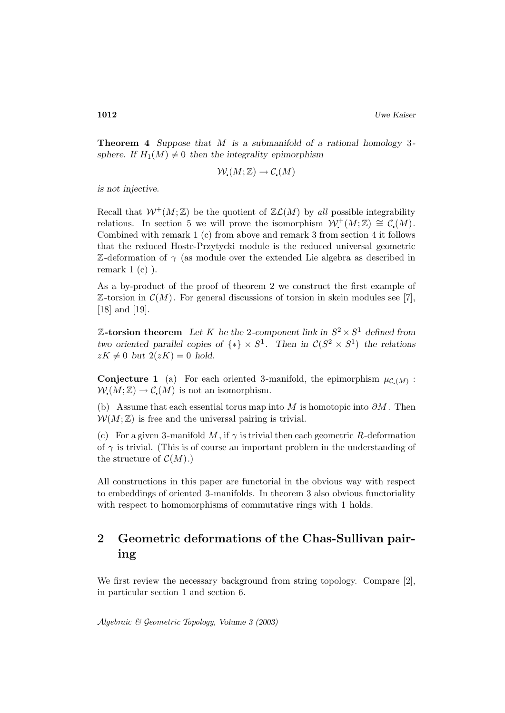**Theorem 4** *Suppose that* M *is a submanifold of a rational homology* 3 *sphere. If*  $H_1(M) \neq 0$  *then the integrality epimorphism* 

$$
\mathcal{W}_\bullet(M;\mathbb{Z}) \to \mathcal{C}_\bullet(M)
$$

*is not injective.*

Recall that  $W^+(M;\mathbb{Z})$  be the quotient of  $\mathbb{Z}\mathcal{L}(M)$  by all possible integrability relations. In section 5 we will prove the isomorphism  $\mathcal{W}^+(M;\mathbb{Z}) \cong \mathcal{C}(M)$ . Combined with remark 1 (c) from above and remark 3 from section 4 it follows that the reduced Hoste-Przytycki module is the reduced universal geometric  $\mathbb{Z}$ -deformation of  $\gamma$  (as module over the extended Lie algebra as described in remark  $1(c)$ ).

As a by-product of the proof of theorem 2 we construct the first example of  $\mathbb{Z}$ -torsion in  $\mathcal{C}(M)$ . For general discussions of torsion in skein modules see [7], [18] and [19].

**Z**-torsion theorem Let K be the 2-component link in  $S^2 \times S^1$  defined from *two oriented parallel copies of*  $\{*\}\times S^1$ *. Then in*  $\mathcal{C}(S^2\times S^1)$  *the relations*  $zK \neq 0$  *but*  $2(zK)=0$  *hold.* 

**Conjecture 1** (a) For each oriented 3-manifold, the epimorphism  $\mu_{\mathcal{C}(M)}$ :  $W(M;\mathbb{Z}) \to \mathcal{C}(M)$  is not an isomorphism.

(b) Assume that each essential torus map into M is homotopic into  $\partial M$ . Then  $W(M;\mathbb{Z})$  is free and the universal pairing is trivial.

(c) For a given 3-manifold M, if  $\gamma$  is trivial then each geometric R-deformation of  $\gamma$  is trivial. (This is of course an important problem in the understanding of the structure of  $\mathcal{C}(M)$ .)

All constructions in this paper are functorial in the obvious way with respect to embeddings of oriented 3-manifolds. In theorem 3 also obvious functoriality with respect to homomorphisms of commutative rings with 1 holds.

# **2 Geometric deformations of the Chas-Sullivan pairing**

We first review the necessary background from string topology. Compare [2], in particular section 1 and section 6.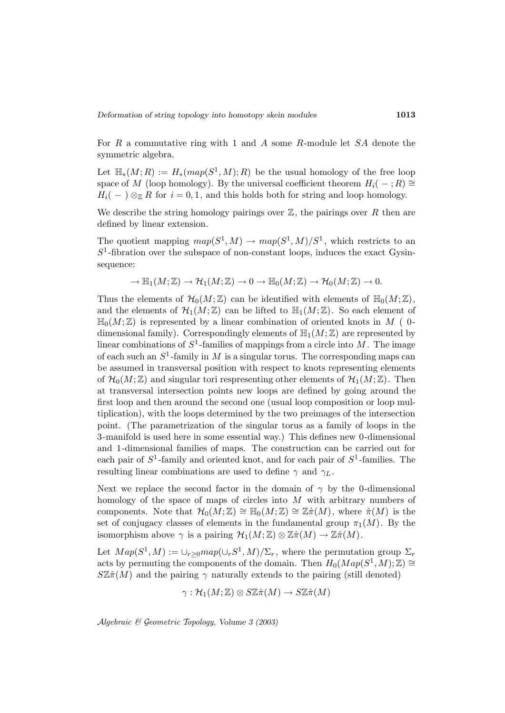For R a commutative ring with 1 and A some R-module let SA denote the symmetric algebra.

Let  $\mathbb{H}_*(M;R) := H_*(map(S^1,M); R)$  be the usual homology of the free loop space of M (loop homology). By the universal coefficient theorem  $H_i(-;R) \cong$  $H_i(-) \otimes_{\mathbb{Z}} R$  for  $i = 0, 1$ , and this holds both for string and loop homology.

We describe the string homology pairings over  $\mathbb Z$ , the pairings over R then are defined by linear extension.

The quotient mapping  $map(S^1, M) \to map(S^1, M)/S^1$ , which restricts to an  $S<sup>1</sup>$ -fibration over the subspace of non-constant loops, induces the exact Gysinsequence:

$$
\to \mathbb{H}_1(M;\mathbb{Z}) \to \mathcal{H}_1(M;\mathbb{Z}) \to 0 \to \mathbb{H}_0(M;\mathbb{Z}) \to \mathcal{H}_0(M;\mathbb{Z}) \to 0.
$$

Thus the elements of  $\mathcal{H}_0(M;\mathbb{Z})$  can be identified with elements of  $\mathbb{H}_0(M;\mathbb{Z}),$ and the elements of  $\mathcal{H}_1(M;\mathbb{Z})$  can be lifted to  $\mathbb{H}_1(M;\mathbb{Z})$ . So each element of  $\mathbb{H}_0(M;\mathbb{Z})$  is represented by a linear combination of oriented knots in M (0dimensional family). Correspondingly elements of  $\mathbb{H}_1(M;\mathbb{Z})$  are represented by linear combinations of  $S^1$ -families of mappings from a circle into M. The image of each such an  $S^1$ -family in M is a singular torus. The corresponding maps can be assumed in transversal position with respect to knots representing elements of  $\mathcal{H}_0(M;\mathbb{Z})$  and singular tori respresenting other elements of  $\mathcal{H}_1(M;\mathbb{Z})$ . Then at transversal intersection points new loops are defined by going around the first loop and then around the second one (usual loop composition or loop multiplication), with the loops determined by the two preimages of the intersection point. (The parametrization of the singular torus as a family of loops in the 3-manifold is used here in some essential way.) This defines new 0-dimensional and 1-dimensional families of maps. The construction can be carried out for each pair of  $S^1$ -family and oriented knot, and for each pair of  $S^1$ -families. The resulting linear combinations are used to define  $\gamma$  and  $\gamma_L$ .

Next we replace the second factor in the domain of  $\gamma$  by the 0-dimensional homology of the space of maps of circles into M with arbitrary numbers of components. Note that  $\mathcal{H}_0(M;\mathbb{Z}) \cong \mathbb{H}_0(M;\mathbb{Z}) \cong \mathbb{Z}\hat{\pi}(M)$ , where  $\hat{\pi}(M)$  is the set of conjugacy classes of elements in the fundamental group  $\pi_1(M)$ . By the isomorphism above  $\gamma$  is a pairing  $\mathcal{H}_1(M;\mathbb{Z}) \otimes \mathbb{Z}\hat{\pi}(M) \to \mathbb{Z}\hat{\pi}(M)$ .

Let  $Map(S^1, M) := \cup_{r>0} map(\cup_r S^1, M)/\Sigma_r$ , where the permutation group  $\Sigma_r$ acts by permuting the components of the domain. Then  $H_0(Map(S^1, M); \mathbb{Z}) \cong$  $S\mathbb{Z}\hat{\pi}(M)$  and the pairing  $\gamma$  naturally extends to the pairing (still denoted)

$$
\gamma: \mathcal{H}_1(M;\mathbb{Z}) \otimes S\mathbb{Z}\hat{\pi}(M) \to S\mathbb{Z}\hat{\pi}(M)
$$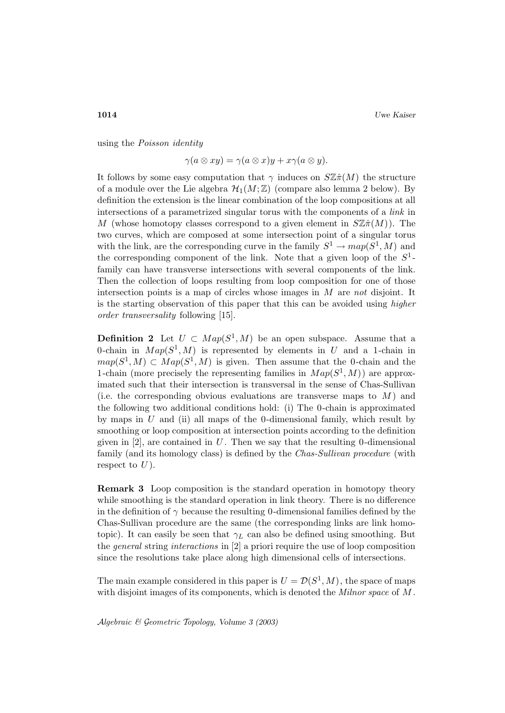using the Poisson identity

 $\gamma(a \otimes xy) = \gamma(a \otimes x)y + x\gamma(a \otimes y).$ 

It follows by some easy computation that  $\gamma$  induces on  $\mathcal{S}\mathbb{Z}(\mathcal{F})$  the structure of a module over the Lie algebra  $\mathcal{H}_1(M;\mathbb{Z})$  (compare also lemma 2 below). By definition the extension is the linear combination of the loop compositions at all intersections of a parametrized singular torus with the components of a link in M (whose homotopy classes correspond to a given element in  $S\mathbb{Z}\hat{\pi}(M)$ ). The two curves, which are composed at some intersection point of a singular torus with the link, are the corresponding curve in the family  $S^1 \to map(S^1, M)$  and the corresponding component of the link. Note that a given loop of the  $S^1$ family can have transverse intersections with several components of the link. Then the collection of loops resulting from loop composition for one of those intersection points is a map of circles whose images in  $M$  are not disjoint. It is the starting observation of this paper that this can be avoided using higher order transversality following [15].

**Definition 2** Let  $U \subset Map(S^1, M)$  be an open subspace. Assume that a 0-chain in  $Map(S^1, M)$  is represented by elements in U and a 1-chain in  $map(S^1, M) \subset Map(S^1, M)$  is given. Then assume that the 0-chain and the 1-chain (more precisely the representing families in  $Map(S^1, M)$ ) are approximated such that their intersection is transversal in the sense of Chas-Sullivan (i.e. the corresponding obvious evaluations are transverse maps to  $M$ ) and the following two additional conditions hold: (i) The 0-chain is approximated by maps in  $U$  and (ii) all maps of the 0-dimensional family, which result by smoothing or loop composition at intersection points according to the definition given in  $[2]$ , are contained in U. Then we say that the resulting 0-dimensional family (and its homology class) is defined by the Chas-Sullivan procedure (with respect to  $U$ ).

**Remark 3** Loop composition is the standard operation in homotopy theory while smoothing is the standard operation in link theory. There is no difference in the definition of  $\gamma$  because the resulting 0-dimensional families defined by the Chas-Sullivan procedure are the same (the corresponding links are link homotopic). It can easily be seen that  $\gamma_L$  can also be defined using smoothing. But the general string interactions in [2] a priori require the use of loop composition since the resolutions take place along high dimensional cells of intersections.

The main example considered in this paper is  $U = \mathcal{D}(S^1, M)$ , the space of maps with disjoint images of its components, which is denoted the *Milnor space* of M.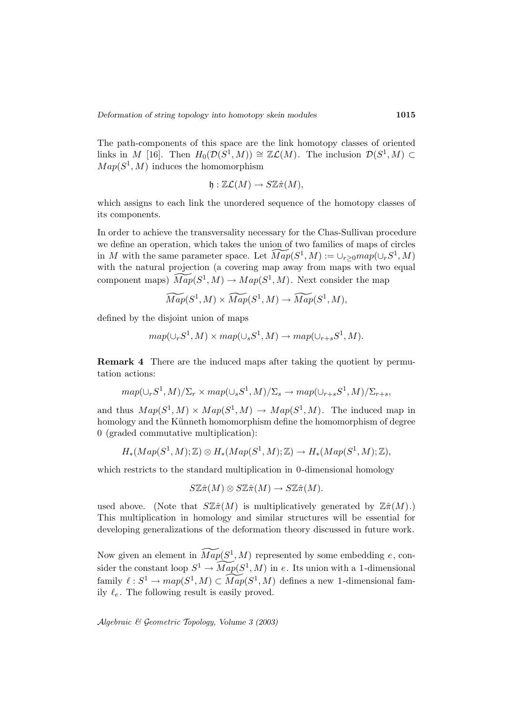The path-components of this space are the link homotopy classes of oriented links in M [16]. Then  $H_0(\mathcal{D}(S^1, M)) \cong \mathbb{Z}\mathcal{L}(M)$ . The inclusion  $\mathcal{D}(S^1, M) \subset$  $Map(S^1, M)$  induces the homomorphism

$$
\mathfrak{h}:\mathbb{Z}\mathcal{L}(M)\to S\mathbb{Z}\hat{\pi}(M),
$$

which assigns to each link the unordered sequence of the homotopy classes of its components.

In order to achieve the transversality necessary for the Chas-Sullivan procedure we define an operation, which takes the union of two families of maps of circles in M with the same parameter space. Let  $\widetilde{Map}(S^1, M) := \cup_{r>0} map(\cup_r S^1, M)$ with the natural projection (a covering map away from maps with two equal component maps)  $\widetilde{Map}(S^1, M) \to Map(S^1, M)$ . Next consider the map

$$
\widetilde{Map}(S^1,M)\times \widetilde{Map}(S^1,M)\rightarrow \widetilde{Map}(S^1,M),
$$

defined by the disjoint union of maps

$$
map(\cup_r S^1, M) \times map(\cup_s S^1, M) \to map(\cup_{r+s} S^1, M).
$$

**Remark 4** There are the induced maps after taking the quotient by permutation actions:

$$
map(\cup_r S^1, M)/\Sigma_r \times map(\cup_s S^1, M)/\Sigma_s \to map(\cup_{r+s} S^1, M)/\Sigma_{r+s},
$$

and thus  $Map(S^1, M) \times Map(S^1, M) \rightarrow Map(S^1, M)$ . The induced map in homology and the Künneth homomorphism define the homomorphism of degree 0 (graded commutative multiplication):

$$
H_*(Map(S^1, M); \mathbb{Z}) \otimes H_*(Map(S^1, M); \mathbb{Z}) \to H_*(Map(S^1, M); \mathbb{Z}),
$$

which restricts to the standard multiplication in 0-dimensional homology

$$
S\mathbb{Z}\hat{\pi}(M)\otimes S\mathbb{Z}\hat{\pi}(M)\to S\mathbb{Z}\hat{\pi}(M).
$$

used above. (Note that  $S\mathbb{Z}\hat{\pi}(M)$  is multiplicatively generated by  $\mathbb{Z}\hat{\pi}(M)$ .) This multiplication in homology and similar structures will be essential for developing generalizations of the deformation theory discussed in future work.

Now given an element in  $\widetilde{Map}(S^1, M)$  represented by some embedding e, consider the constant loop  $S^1 \to \widetilde{Map}(S^1, M)$  in e. Its union with a 1-dimensional family  $\ell : S^1 \to map(S^1, M) \subset \widetilde{Map}(S^1, M)$  defines a new 1-dimensional family  $\ell_e$ . The following result is easily proved.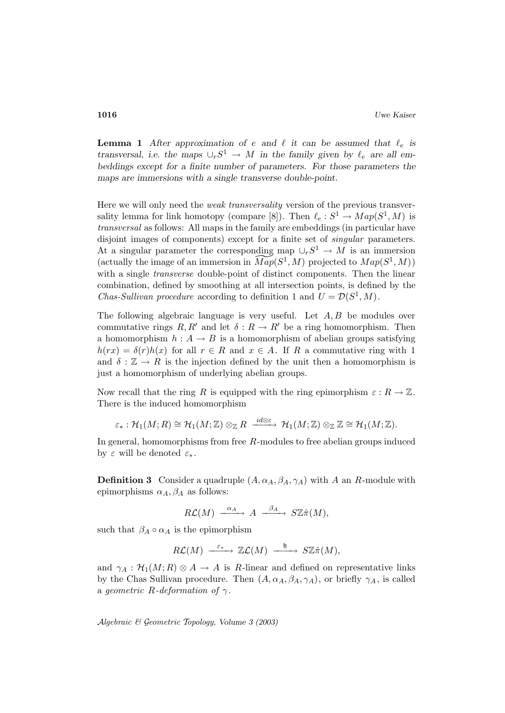**Lemma 1** After approximation of e and  $\ell$  it can be assumed that  $\ell_e$  is *transversal, i.e. the maps*  $\cup_r S^1 \to M$  *in the family given by*  $\ell_e$  *are all embeddings except for a finite number of parameters. For those parameters the maps are immersions with a single transverse double-point.*

Here we will only need the *weak transversality* version of the previous transversality lemma for link homotopy (compare [8]). Then  $\ell_e : S^1 \to Map(S^1, M)$  is transversal as follows: All maps in the family are embeddings (in particular have disjoint images of components) except for a finite set of *singular* parameters. At a singular parameter the corresponding map  $\cup_r S^1 \to M$  is an immersion (actually the image of an immersion in  $\widetilde{Map}(S^1, M)$  projected to  $Map(S^1, M))$ with a single *transverse* double-point of distinct components. Then the linear combination, defined by smoothing at all intersection points, is defined by the *Chas-Sullivan procedure* according to definition 1 and  $U = \mathcal{D}(S^1, M)$ .

The following algebraic language is very useful. Let  $A, B$  be modules over commutative rings  $R, R'$  and let  $\delta : R \to R'$  be a ring homomorphism. Then a homomorphism  $h: A \to B$  is a homomorphism of abelian groups satisfying  $h(rx) = \delta(r)h(x)$  for all  $r \in R$  and  $x \in A$ . If R a commutative ring with 1 and  $\delta : \mathbb{Z} \to R$  is the injection defined by the unit then a homomorphism is just a homomorphism of underlying abelian groups.

Now recall that the ring R is equipped with the ring epimorphism  $\varepsilon : R \to \mathbb{Z}$ . There is the induced homomorphism

$$
\varepsilon_*: \mathcal{H}_1(M; R) \cong \mathcal{H}_1(M; \mathbb{Z}) \otimes_{\mathbb{Z}} R \xrightarrow{id \otimes \varepsilon} \mathcal{H}_1(M; \mathbb{Z}) \otimes_{\mathbb{Z}} \mathbb{Z} \cong \mathcal{H}_1(M; \mathbb{Z}).
$$

In general, homomorphisms from free R-modules to free abelian groups induced by  $\varepsilon$  will be denoted  $\varepsilon_*$ .

**Definition 3** Consider a quadruple  $(A, \alpha_A, \beta_A, \gamma_A)$  with A an R-module with epimorphisms  $\alpha_A, \beta_A$  as follows:

$$
R\mathcal L(M)\;\stackrel{\alpha_A}{-\!\!\!-\!\!\!-\!\!\!\longrightarrow}\; A\;\stackrel{\beta_A}{-\!\!\!-\!\!\!\longrightarrow}\; S\mathbb Z \hat \pi(M),
$$

such that  $\beta_A \circ \alpha_A$  is the epimorphism

$$
R\mathcal{L}(M) \xrightarrow{\varepsilon_*} \mathbb{Z}\mathcal{L}(M) \xrightarrow{\mathfrak{h}} S\mathbb{Z}\hat{\pi}(M),
$$

and  $\gamma_A : \mathcal{H}_1(M; R) \otimes A \to A$  is R-linear and defined on representative links by the Chas Sullivan procedure. Then  $(A, \alpha_A, \beta_A, \gamma_A)$ , or briefly  $\gamma_A$ , is called a geometric R-deformation of  $\gamma$ .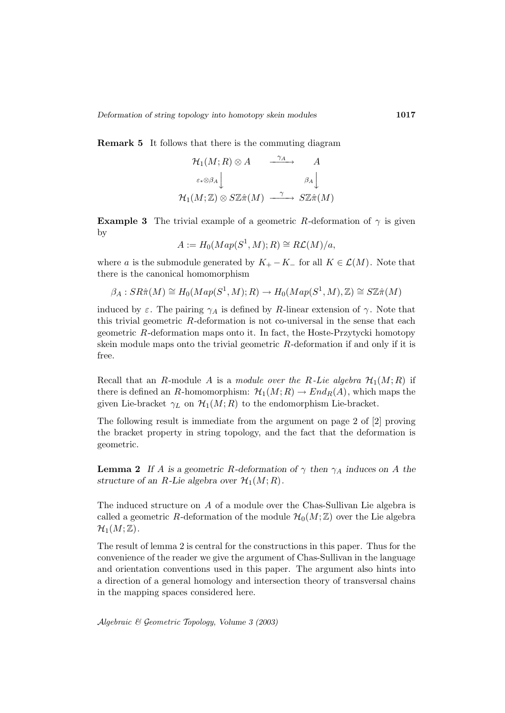**Remark 5** It follows that there is the commuting diagram

$$
\mathcal{H}_1(M;R) \otimes A \longrightarrow A
$$
  
\n
$$
\varepsilon_* \otimes \beta_A \downarrow \qquad \beta_A \downarrow
$$
  
\n
$$
\mathcal{H}_1(M; \mathbb{Z}) \otimes S\mathbb{Z} \hat{\pi}(M) \longrightarrow S\mathbb{Z} \hat{\pi}(M)
$$

**Example 3** The trivial example of a geometric R-deformation of  $\gamma$  is given by

$$
A := H_0(Map(S^1, M); R) \cong R\mathcal{L}(M)/a,
$$

where a is the submodule generated by  $K_{+} - K_{-}$  for all  $K \in \mathcal{L}(M)$ . Note that there is the canonical homomorphism

$$
\beta_A: SR\hat{\pi}(M) \cong H_0(Map(S^1, M); R) \to H_0(Map(S^1, M), \mathbb{Z}) \cong S\mathbb{Z}\hat{\pi}(M)
$$

induced by  $\varepsilon$ . The pairing  $\gamma_A$  is defined by R-linear extension of  $\gamma$ . Note that this trivial geometric  $R$ -deformation is not co-universal in the sense that each geometric R-deformation maps onto it. In fact, the Hoste-Przytycki homotopy skein module maps onto the trivial geometric  $R$ -deformation if and only if it is free.

Recall that an R-module A is a module over the R-Lie algebra  $\mathcal{H}_1(M;R)$  if there is defined an R-homomorphism:  $\mathcal{H}_1(M;R) \to End_R(A)$ , which maps the given Lie-bracket  $\gamma_L$  on  $\mathcal{H}_1(M;R)$  to the endomorphism Lie-bracket.

The following result is immediate from the argument on page 2 of [2] proving the bracket property in string topology, and the fact that the deformation is geometric.

**Lemma 2** If A is a geometric R-deformation of  $\gamma$  then  $\gamma_A$  induces on A the *structure of an R-Lie algebra over*  $\mathcal{H}_1(M; R)$ *.* 

The induced structure on A of a module over the Chas-Sullivan Lie algebra is called a geometric R-deformation of the module  $\mathcal{H}_0(M;\mathbb{Z})$  over the Lie algebra  $\mathcal{H}_1(M;\mathbb{Z})$ .

The result of lemma 2 is central for the constructions in this paper. Thus for the convenience of the reader we give the argument of Chas-Sullivan in the language and orientation conventions used in this paper. The argument also hints into a direction of a general homology and intersection theory of transversal chains in the mapping spaces considered here.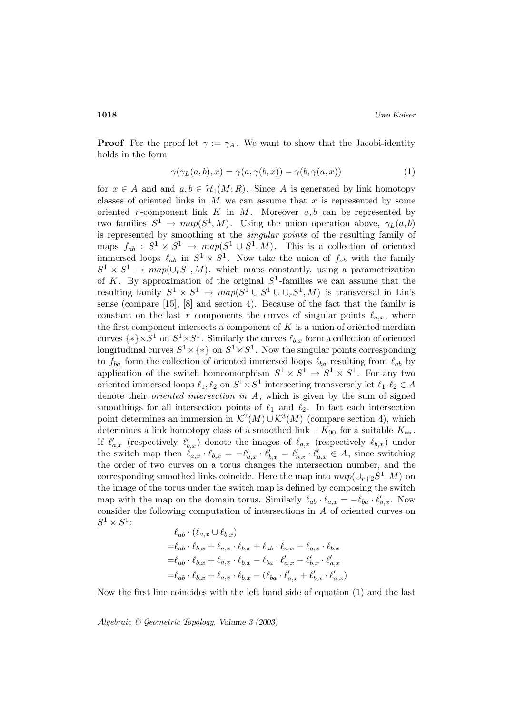**Proof** For the proof let  $\gamma := \gamma_A$ . We want to show that the Jacobi-identity holds in the form

$$
\gamma(\gamma_L(a,b),x) = \gamma(a,\gamma(b,x)) - \gamma(b,\gamma(a,x))
$$
\n(1)

for  $x \in A$  and and  $a, b \in H_1(M; R)$ . Since A is generated by link homotopy classes of oriented links in  $M$  we can assume that  $x$  is represented by some oriented r-component link  $K$  in  $M$ . Moreover  $a, b$  can be represented by two families  $S^1 \to map(S^1, M)$ . Using the union operation above,  $\gamma_L(a, b)$ is represented by smoothing at the singular points of the resulting family of maps  $f_{ab} : S^1 \times S^1 \to map(S^1 \cup S^1, M)$ . This is a collection of oriented immersed loops  $\ell_{ab}$  in  $S^1 \times S^1$ . Now take the union of  $f_{ab}$  with the family  $S^1 \times S^1 \rightarrow map(\cup_r S^1, M)$ , which maps constantly, using a parametrization of K. By approximation of the original  $S^1$ -families we can assume that the resulting family  $S^1 \times S^1 \to map(S^1 \cup S^1 \cup \cup_r S^1, M)$  is transversal in Lin's sense (compare [15], [8] and section 4). Because of the fact that the family is constant on the last r components the curves of singular points  $\ell_{a,x}$ , where the first component intersects a component of  $K$  is a union of oriented merdian curves  $\{*\}\times S^1$  on  $S^1\times S^1$ . Similarly the curves  $\ell_{b,x}$  form a collection of oriented longitudinal curves  $S^1 \times \{*\}$  on  $S^1 \times S^1$ . Now the singular points corresponding to  $f_{ba}$  form the collection of oriented immersed loops  $\ell_{ba}$  resulting from  $\ell_{ab}$  by application of the switch homeomorphism  $S^1 \times S^1 \to S^1 \times S^1$ . For any two oriented immersed loops  $\ell_1, \ell_2$  on  $S^1 \times S^1$  intersecting transversely let  $\ell_1 \cdot \ell_2 \in A$ denote their *oriented intersection in A*, which is given by the sum of signed smoothings for all intersection points of  $\ell_1$  and  $\ell_2$ . In fact each intersection point determines an immersion in  $\mathcal{K}^2(M) \cup \mathcal{K}^3(M)$  (compare section 4), which determines a link homotopy class of a smoothed link  $\pm K_{00}$  for a suitable  $K_{**}$ . If  $\ell'_{a,x}$  (respectively  $\ell'_{b,x}$ ) denote the images of  $\ell_{a,x}$  (respectively  $\ell_{b,x}$ ) under the switch map then  $\ell_{a,x} \cdot \ell_{b,x} = -\ell'_{a,x} \cdot \ell'_{b,x} = \ell'_{b,x} \cdot \ell'_{a,x} \in A$ , since switching the order of two curves on a torus changes the intersection number, and the corresponding smoothed links coincide. Here the map into  $map(\cup_{r+2}S^1, M)$  on the image of the torus under the switch map is defined by composing the switch map with the map on the domain torus. Similarly  $\ell_{ab} \cdot \ell_{a,x} = -\ell_{ba} \cdot \ell'_{a,x}$ . Now consider the following computation of intersections in A of oriented curves on  $S^1 \times S^1$ :

$$
\ell_{ab} \cdot (\ell_{a,x} \cup \ell_{b,x})
$$
  
=\ell\_{ab} \cdot \ell\_{b,x} + \ell\_{a,x} \cdot \ell\_{b,x} + \ell\_{ab} \cdot \ell\_{a,x} - \ell\_{a,x} \cdot \ell\_{b,x}  
=\ell\_{ab} \cdot \ell\_{b,x} + \ell\_{a,x} \cdot \ell\_{b,x} - \ell\_{ba} \cdot \ell'\_{a,x} - \ell'\_{b,x} \cdot \ell'\_{a,x}  
=\ell\_{ab} \cdot \ell\_{b,x} + \ell\_{a,x} \cdot \ell\_{b,x} - (\ell\_{ba} \cdot \ell'\_{a,x} + \ell'\_{b,x} \cdot \ell'\_{a,x})

Now the first line coincides with the left hand side of equation (1) and the last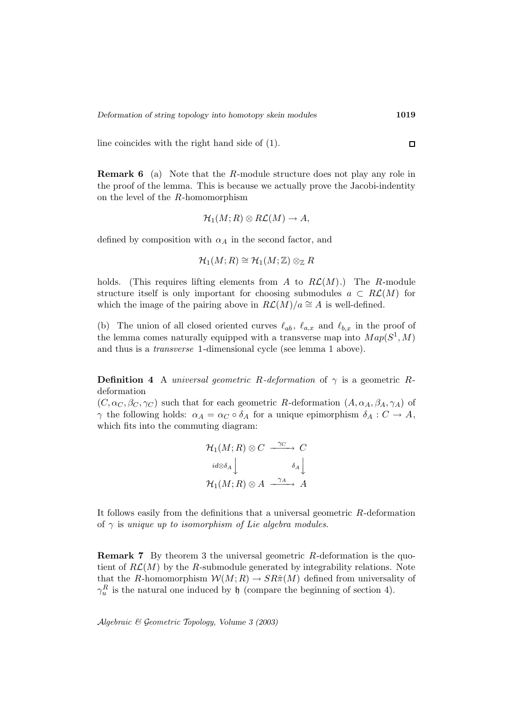line coincides with the right hand side of (1).

**Remark 6** (a) Note that the R-module structure does not play any role in the proof of the lemma. This is because we actually prove the Jacobi-indentity on the level of the R-homomorphism

$$
\mathcal{H}_1(M;R)\otimes R\mathcal{L}(M)\to A,
$$

defined by composition with  $\alpha_A$  in the second factor, and

$$
\mathcal{H}_1(M;R)\cong\mathcal{H}_1(M;\mathbb{Z})\otimes_\mathbb{Z} R
$$

holds. (This requires lifting elements from A to  $R\mathcal{L}(M)$ .) The R-module structure itself is only important for choosing submodules  $a \text{ }\subset R\mathcal{L}(M)$  for which the image of the pairing above in  $R\mathcal{L}(M)/a \cong A$  is well-defined.

(b) The union of all closed oriented curves  $\ell_{ab}$ ,  $\ell_{a,x}$  and  $\ell_{b,x}$  in the proof of the lemma comes naturally equipped with a transverse map into  $Map(S^1, M)$ and thus is a transverse 1-dimensional cycle (see lemma 1 above).

**Definition 4** A universal geometric R-deformation of  $\gamma$  is a geometric Rdeformation

 $(C, \alpha_C, \beta_C, \gamma_C)$  such that for each geometric R-deformation  $(A, \alpha_A, \beta_A, \gamma_A)$  of  $\gamma$  the following holds:  $\alpha_A = \alpha_C \circ \delta_A$  for a unique epimorphism  $\delta_A : C \to A$ , which fits into the commuting diagram:

$$
\mathcal{H}_1(M;R) \otimes C \xrightarrow{\gamma_C} C
$$

$$
id \otimes \delta_A \downarrow \qquad \delta_A \downarrow
$$

$$
\mathcal{H}_1(M;R) \otimes A \xrightarrow{\gamma_A} A
$$

It follows easily from the definitions that a universal geometric  $R$ -deformation of  $\gamma$  is unique up to isomorphism of Lie algebra modules.

**Remark 7** By theorem 3 the universal geometric R-deformation is the quotient of  $R\mathcal{L}(M)$  by the R-submodule generated by integrability relations. Note that the R-homomorphism  $W(M; R) \to SR\hat{\pi}(M)$  defined from universality of  $\gamma_u^R$  is the natural one induced by h (compare the beginning of section 4).

Algebraic & Geometric Topology*, Volume 3 (2003)*

 $\Box$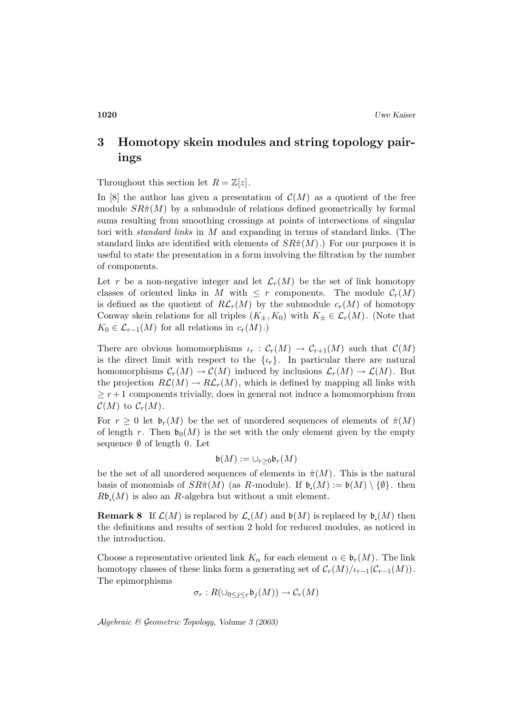# **3 Homotopy skein modules and string topology pairings**

Throughout this section let  $R = \mathbb{Z}[z]$ .

In [8] the author has given a presentation of  $\mathcal{C}(M)$  as a quotient of the free module  $SR\hat{\pi}(M)$  by a submodule of relations defined geometrically by formal sums resulting from smoothing crossings at points of intersections of singular tori with standard links in M and expanding in terms of standard links. (The standard links are identified with elements of  $SR\hat{\pi}(M)$ .) For our purposes it is useful to state the presentation in a form involving the filtration by the number of components.

Let r be a non-negative integer and let  $\mathcal{L}_r(M)$  be the set of link homotopy classes of oriented links in M with  $\leq r$  components. The module  $\mathcal{C}_r(M)$ is defined as the quotient of  $R\mathcal{L}_r(M)$  by the submodule  $c_r(M)$  of homotopy Conway skein relations for all triples  $(K_{\pm}, K_0)$  with  $K_{\pm} \in \mathcal{L}_r(M)$ . (Note that  $K_0 \in \mathcal{L}_{r-1}(M)$  for all relations in  $c_r(M)$ .)

There are obvious homomorphisms  $\iota_r : C_r(M) \to C_{r+1}(M)$  such that  $\mathcal{C}(M)$ is the direct limit with respect to the  $\{\iota_r\}$ . In particular there are natural homomorphisms  $C_r(M) \to C(M)$  induced by inclusions  $\mathcal{L}_r(M) \to \mathcal{L}(M)$ . But the projection  $R\mathcal{L}(M) \to R\mathcal{L}_r(M)$ , which is defined by mapping all links with  $\geq r+1$  components trivially, does in general not induce a homomorphism from  $\mathcal{C}(M)$  to  $\mathcal{C}_r(M)$ .

For  $r \geq 0$  let  $\mathfrak{b}_r(M)$  be the set of unordered sequences of elements of  $\hat{\pi}(M)$ of length r. Then  $\mathfrak{b}_0(M)$  is the set with the only element given by the empty sequence  $\emptyset$  of length 0. Let

$$
\mathfrak{b}(M):=\cup_{r\geq 0}\mathfrak{b}_{r}(M)
$$

be the set of all unordered sequences of elements in  $\hat{\pi}(M)$ . This is the natural basis of monomials of  $SR\hat{\pi}(M)$  (as R-module). If  $\mathfrak{b}(M) := \mathfrak{b}(M) \setminus \{\emptyset\}$ . then  $R\mathfrak{b}(M)$  is also an R-algebra but without a unit element.

**Remark 8** If  $\mathcal{L}(M)$  is replaced by  $\mathcal{L}(M)$  and  $\mathfrak{b}(M)$  is replaced by  $\mathfrak{b}(M)$  then the definitions and results of section 2 hold for reduced modules, as noticed in the introduction.

Choose a representative oriented link  $K_{\alpha}$  for each element  $\alpha \in \mathfrak{b}_r(M)$ . The link homotopy classes of these links form a generating set of  $C_r(M)/\ell_{r-1}(C_{r-1}(M))$ . The epimorphisms

$$
\sigma_r: R(\cup_{0\leq j\leq r}\mathfrak{b}_j(M))\to \mathcal{C}_r(M)
$$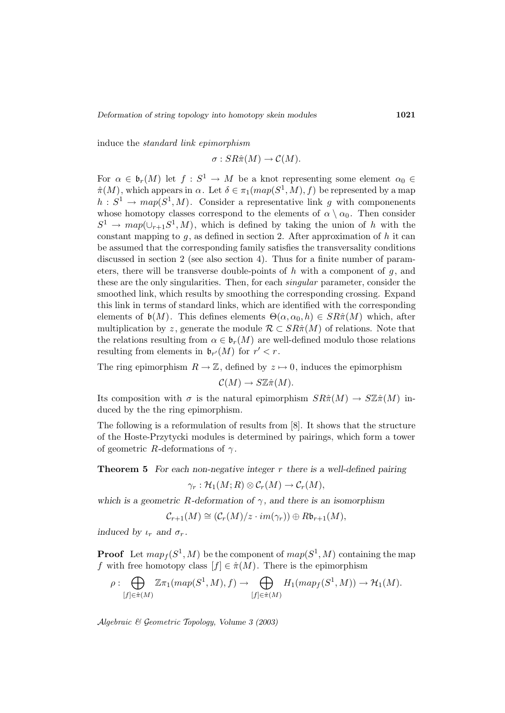induce the standard link epimorphism

$$
\sigma: SR\hat{\pi}(M) \to \mathcal{C}(M).
$$

For  $\alpha \in \mathfrak{b}_r(M)$  let  $f : S^1 \to M$  be a knot representing some element  $\alpha_0 \in$  $\hat{\pi}(M)$ , which appears in  $\alpha$ . Let  $\delta \in \pi_1(map(S^1, M), f)$  be represented by a map  $h: S^1 \to map(S^1, M)$ . Consider a representative link g with componenents whose homotopy classes correspond to the elements of  $\alpha \setminus \alpha_0$ . Then consider  $S^1 \to map(\cup_{r+1} S^1, M)$ , which is defined by taking the union of h with the constant mapping to  $g$ , as defined in section 2. After approximation of  $h$  it can be assumed that the corresponding family satisfies the transversality conditions discussed in section 2 (see also section 4). Thus for a finite number of parameters, there will be transverse double-points of h with a component of  $g$ , and these are the only singularities. Then, for each *singular* parameter, consider the smoothed link, which results by smoothing the corresponding crossing. Expand this link in terms of standard links, which are identified with the corresponding elements of  $\mathfrak{b}(M)$ . This defines elements  $\Theta(\alpha, \alpha_0, h) \in SR\hat{\pi}(M)$  which, after multiplication by z, generate the module  $\mathcal{R} \subset SR\hat{\pi}(M)$  of relations. Note that the relations resulting from  $\alpha \in \mathfrak{b}_r(M)$  are well-defined modulo those relations resulting from elements in  $\mathfrak{b}_{r'}(M)$  for  $r' < r$ .

The ring epimorphism  $R \to \mathbb{Z}$ , defined by  $z \mapsto 0$ , induces the epimorphism

 $\mathcal{C}(M) \to S\mathbb{Z}\hat{\pi}(M).$ 

Its composition with  $\sigma$  is the natural epimorphism  $SR\hat{\pi}(M) \to S\mathbb{Z}\hat{\pi}(M)$  induced by the the ring epimorphism.

The following is a reformulation of results from [8]. It shows that the structure of the Hoste-Przytycki modules is determined by pairings, which form a tower of geometric R-deformations of  $\gamma$ .

**Theorem 5** *For each non-negative integer* r *there is a well-defined pairing*

$$
\gamma_r: \mathcal{H}_1(M;R)\otimes \mathcal{C}_r(M)\to \mathcal{C}_r(M),
$$

*which is a geometric R-deformation of*  $\gamma$ , and there is an isomorphism

$$
C_{r+1}(M) \cong (C_r(M)/z \cdot im(\gamma_r)) \oplus R\mathfrak{b}_{r+1}(M),
$$

*induced by*  $\iota_r$  *and*  $\sigma_r$ *.* 

**Proof** Let  $map_f(S^1, M)$  be the component of  $map(S^1, M)$  containing the map f with free homotopy class  $[f] \in \hat{\pi}(M)$ . There is the epimorphism

$$
\rho: \bigoplus_{[f]\in \hat{\pi}(M)} \mathbb{Z}\pi_1(map(S^1,M),f) \to \bigoplus_{[f]\in \hat{\pi}(M)} H_1(map_f(S^1,M)) \to \mathcal{H}_1(M).
$$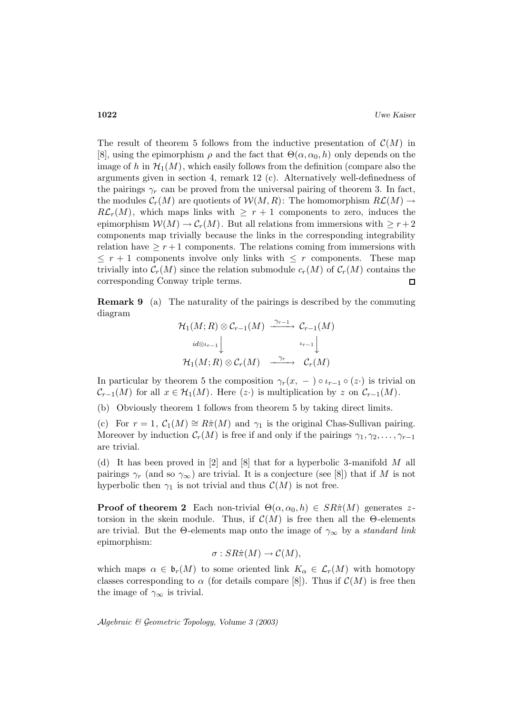The result of theorem 5 follows from the inductive presentation of  $\mathcal{C}(M)$  in [8], using the epimorphism  $\rho$  and the fact that  $\Theta(\alpha, \alpha_0, h)$  only depends on the image of h in  $\mathcal{H}_1(M)$ , which easily follows from the definition (compare also the arguments given in section 4, remark 12 (c). Alternatively well-definedness of the pairings  $\gamma_r$  can be proved from the universal pairing of theorem 3. In fact, the modules  $C_r(M)$  are quotients of  $W(M, R)$ : The homomorphism  $R\mathcal{L}(M) \to$  $R\mathcal{L}_r(M)$ , which maps links with  $\geq r+1$  components to zero, induces the epimorphism  $W(M) \to \mathcal{C}_r(M)$ . But all relations from immersions with  $\geq r+2$ components map trivially because the links in the corresponding integrability relation have  $\geq r+1$  components. The relations coming from immersions with  $\leq r+1$  components involve only links with  $\leq r$  components. These map trivially into  $C_r(M)$  since the relation submodule  $c_r(M)$  of  $C_r(M)$  contains the corresponding Conway triple terms.  $\Box$ 

**Remark 9** (a) The naturality of the pairings is described by the commuting diagram

$$
\begin{array}{ccc}\mathcal{H}_1(M;R)\otimes\mathcal{C}_{r-1}(M)&\xrightarrow{\gamma_{r-1}}&\mathcal{C}_{r-1}(M)\\ &\downarrow \scriptstyle id\otimes\iota_{r-1}\bigcup\limits_{\mu_{r-1}}&\iota_{r-1}\bigcup\limits_{\mu_{r-1}}\\ \mathcal{H}_1(M;R)\otimes\mathcal{C}_r(M)&\xrightarrow{\gamma_r}&\mathcal{C}_r(M)\end{array}
$$

In particular by theorem 5 the composition  $\gamma_r(x, -) \circ \iota_{r-1} \circ (z)$  is trivial on  $\mathcal{C}_{r-1}(M)$  for all  $x \in \mathcal{H}_1(M)$ . Here  $(z)$  is multiplication by z on  $\mathcal{C}_{r-1}(M)$ .

(b) Obviously theorem 1 follows from theorem 5 by taking direct limits.

(c) For  $r = 1$ ,  $C_1(M) \cong R\hat{\pi}(M)$  and  $\gamma_1$  is the original Chas-Sullivan pairing. Moreover by induction  $\mathcal{C}_r(M)$  is free if and only if the pairings  $\gamma_1, \gamma_2, \ldots, \gamma_{r-1}$ are trivial.

(d) It has been proved in [2] and [8] that for a hyperbolic 3-manifold M all pairings  $\gamma_r$  (and so  $\gamma_\infty$ ) are trivial. It is a conjecture (see [8]) that if M is not hyperbolic then  $\gamma_1$  is not trivial and thus  $\mathcal{C}(M)$  is not free.

**Proof of theorem 2** Each non-trivial  $\Theta(\alpha, \alpha_0, h) \in SR\hat{\pi}(M)$  generates ztorsion in the skein module. Thus, if  $\mathcal{C}(M)$  is free then all the  $\Theta$ -elements are trivial. But the  $\Theta$ -elements map onto the image of  $\gamma_{\infty}$  by a standard link epimorphism:

$$
\sigma: SR\hat{\pi}(M) \to \mathcal{C}(M),
$$

which maps  $\alpha \in \mathfrak{b}_r(M)$  to some oriented link  $K_\alpha \in \mathcal{L}_r(M)$  with homotopy classes corresponding to  $\alpha$  (for details compare [8]). Thus if  $\mathcal{C}(M)$  is free then the image of  $\gamma_{\infty}$  is trivial.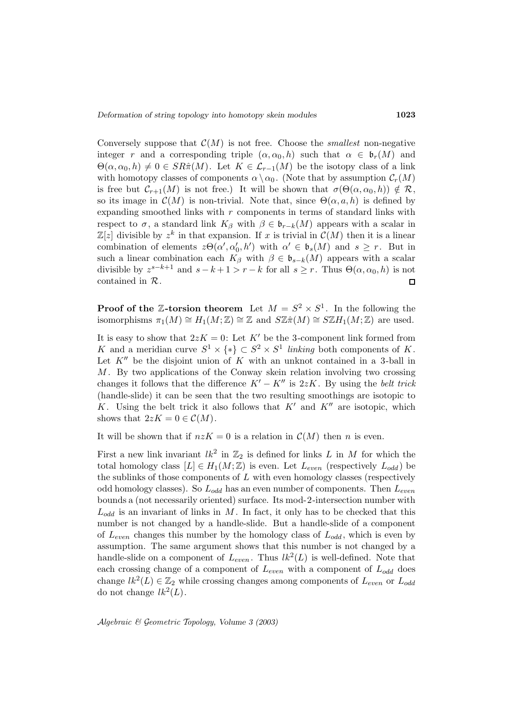Conversely suppose that  $\mathcal{C}(M)$  is not free. Choose the *smallest* non-negative integer r and a corresponding triple  $(\alpha, \alpha_0, h)$  such that  $\alpha \in \mathfrak{b}_r(M)$  and  $\Theta(\alpha,\alpha_0,h) \neq 0 \in SR\hat{\pi}(M)$ . Let  $K \in \mathcal{L}_{r-1}(M)$  be the isotopy class of a link with homotopy classes of components  $\alpha \setminus \alpha_0$ . (Note that by assumption  $\mathcal{C}_r(M)$ is free but  $\mathcal{C}_{r+1}(M)$  is not free.) It will be shown that  $\sigma(\Theta(\alpha,\alpha_0,h)) \notin \mathcal{R}$ , so its image in  $\mathcal{C}(M)$  is non-trivial. Note that, since  $\Theta(\alpha, a, h)$  is defined by expanding smoothed links with  $r$  components in terms of standard links with respect to  $\sigma$ , a standard link  $K_{\beta}$  with  $\beta \in \mathfrak{b}_{r-k}(M)$  appears with a scalar in  $\mathbb{Z}[z]$  divisible by  $z^k$  in that expansion. If x is trivial in  $\mathcal{C}(M)$  then it is a linear combination of elements  $z\Theta(\alpha', \alpha'_0, h')$  with  $\alpha' \in \mathfrak{b}_s(M)$  and  $s \geq r$ . But in such a linear combination each  $K_{\beta}$  with  $\beta \in \mathfrak{b}_{s-k}(M)$  appears with a scalar divisible by  $z^{s-k+1}$  and  $s-k+1 > r-k$  for all  $s \geq r$ . Thus  $\Theta(\alpha, \alpha_0, h)$  is not contained in R.  $\Box$ 

**Proof of the Z-torsion theorem** Let  $M = S^2 \times S^1$ . In the following the isomorphisms  $\pi_1(M) \cong H_1(M;\mathbb{Z}) \cong \mathbb{Z}$  and  $S\mathbb{Z}\hat{\pi}(M) \cong S\mathbb{Z}H_1(M;\mathbb{Z})$  are used.

It is easy to show that  $2zK = 0$ : Let K' be the 3-component link formed from K and a meridian curve  $S^1 \times \{*\} \subset S^2 \times S^1$  linking both components of K. Let  $K''$  be the disjoint union of  $K$  with an unknot contained in a 3-ball in  $M$ . By two applications of the Conway skein relation involving two crossing changes it follows that the difference  $K' - K''$  is 2zK. By using the belt trick (handle-slide) it can be seen that the two resulting smoothings are isotopic to K. Using the belt trick it also follows that  $K'$  and  $K''$  are isotopic, which shows that  $2zK = 0 \in \mathcal{C}(M)$ .

It will be shown that if  $nzK = 0$  is a relation in  $C(M)$  then n is even.

First a new link invariant  $lk^2$  in  $\mathbb{Z}_2$  is defined for links L in M for which the total homology class  $[L] \in H_1(M;\mathbb{Z})$  is even. Let  $L_{even}$  (respectively  $L_{odd}$ ) be the sublinks of those components of  $L$  with even homology classes (respectively odd homology classes). So  $L_{odd}$  has an even number of components. Then  $L_{even}$ bounds a (not necessarily oriented) surface. Its mod-2-intersection number with  $L_{odd}$  is an invariant of links in M. In fact, it only has to be checked that this number is not changed by a handle-slide. But a handle-slide of a component of  $L_{even}$  changes this number by the homology class of  $L_{odd}$ , which is even by assumption. The same argument shows that this number is not changed by a handle-slide on a component of  $L_{even}$ . Thus  $lk^2(L)$  is well-defined. Note that each crossing change of a component of  $L_{even}$  with a component of  $L_{odd}$  does change  $lk^2(L) \in \mathbb{Z}_2$  while crossing changes among components of  $L_{even}$  or  $L_{odd}$ do not change  $lk^2(L)$ .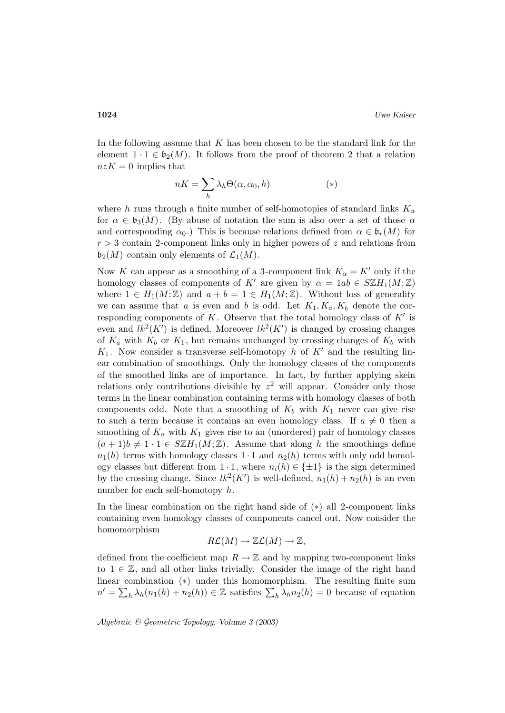In the following assume that  $K$  has been chosen to be the standard link for the element  $1 \cdot 1 \in \mathfrak{b}_2(M)$ . It follows from the proof of theorem 2 that a relation  $nzK = 0$  implies that

$$
nK = \sum_{h} \lambda_h \Theta(\alpha, \alpha_0, h) \tag{*}
$$

where h runs through a finite number of self-homotopies of standard links  $K_{\alpha}$ for  $\alpha \in \mathfrak{b}_3(M)$ . (By abuse of notation the sum is also over a set of those  $\alpha$ and corresponding  $\alpha_0$ .) This is because relations defined from  $\alpha \in \mathfrak{b}_r(M)$  for  $r > 3$  contain 2-component links only in higher powers of z and relations from  $\mathfrak{b}_2(M)$  contain only elements of  $\mathcal{L}_1(M)$ .

Now K can appear as a smoothing of a 3-component link  $K_{\alpha} = K'$  only if the homology classes of components of K<sup>'</sup> are given by  $\alpha = 1ab \in \mathcal{S}\mathbb{Z}H_1(M;\mathbb{Z})$ where  $1 \in H_1(M;\mathbb{Z})$  and  $a + b = 1 \in H_1(M;\mathbb{Z})$ . Without loss of generality we can assume that a is even and b is odd. Let  $K_1, K_a, K_b$  denote the corresponding components of K. Observe that the total homology class of  $K'$  is even and  $lk^2(K')$  is defined. Moreover  $lk^2(K')$  is changed by crossing changes of  $K_a$  with  $K_b$  or  $K_1$ , but remains unchanged by crossing changes of  $K_b$  with  $K_1$ . Now consider a transverse self-homotopy h of K' and the resulting linear combination of smoothings. Only the homology classes of the components of the smoothed links are of importance. In fact, by further applying skein relations only contributions divisible by  $z^2$  will appear. Consider only those terms in the linear combination containing terms with homology classes of both components odd. Note that a smoothing of  $K_b$  with  $K_1$  never can give rise to such a term because it contains an even homology class. If  $a \neq 0$  then a smoothing of  $K_a$  with  $K_1$  gives rise to an (unordered) pair of homology classes  $(a + 1)b \neq 1 \cdot 1 \in \mathbb{SZH}_1(M;\mathbb{Z})$ . Assume that along h the smoothings define  $n_1(h)$  terms with homology classes  $1 \cdot 1$  and  $n_2(h)$  terms with only odd homology classes but different from  $1 \cdot 1$ , where  $n_i(h) \in \{\pm 1\}$  is the sign determined by the crossing change. Since  $lk^2(K')$  is well-defined,  $n_1(h) + n_2(h)$  is an even number for each self-homotopy  $h$ .

In the linear combination on the right hand side of (∗) all 2-component links containing even homology classes of components cancel out. Now consider the homomorphism

$$
R\mathcal{L}(M) \to \mathbb{Z}\mathcal{L}(M) \to \mathbb{Z},
$$

defined from the coefficient map  $R \to \mathbb{Z}$  and by mapping two-component links to  $1 \in \mathbb{Z}$ , and all other links trivially. Consider the image of the right hand linear combination (∗) under this homomorphism. The resulting finite sum  $n' = \sum_h \lambda_h(n_1(h) + n_2(h)) \in \mathbb{Z}$  satisfies  $\sum_h \lambda_h n_2(h) = 0$  because of equation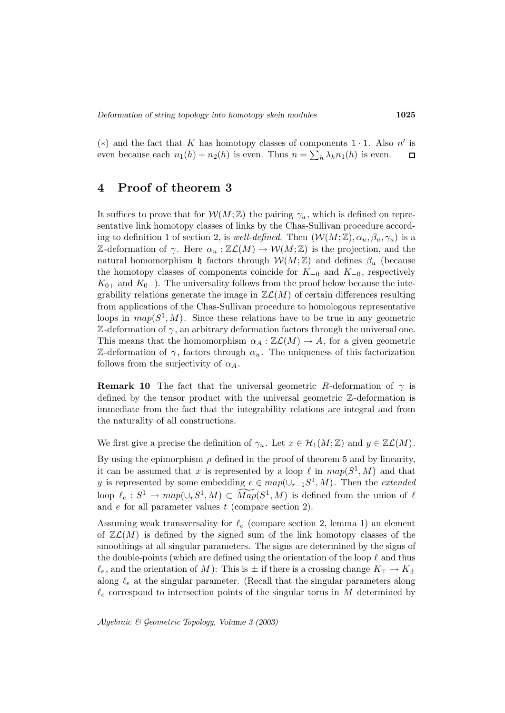(\*) and the fact that K has homotopy classes of components  $1 \cdot 1$ . Also n' is even because each  $n_1(h) + n_2(h)$  is even. Thus  $n = \sum_h \lambda_h n_1(h)$  is even.  $\Box$ 

## **4 Proof of theorem 3**

It suffices to prove that for  $W(M;\mathbb{Z})$  the pairing  $\gamma_u$ , which is defined on representative link homotopy classes of links by the Chas-Sullivan procedure according to definition 1 of section 2, is well-defined. Then  $(\mathcal{W}(M;\mathbb{Z}), \alpha_u, \beta_u, \gamma_u)$  is a Z-deformation of  $\gamma$ . Here  $\alpha_u : \mathbb{Z}\mathcal{L}(M) \to \mathcal{W}(M;\mathbb{Z})$  is the projection, and the natural homomorphism h factors through  $W(M;\mathbb{Z})$  and defines  $\beta_u$  (because the homotopy classes of components coincide for  $K_{+0}$  and  $K_{-0}$ , respectively  $K_{0+}$  and  $K_{0-}$ ). The universality follows from the proof below because the integrability relations generate the image in  $\mathbb{Z}\mathcal{L}(M)$  of certain differences resulting from applications of the Chas-Sullivan procedure to homologous representative loops in  $map(S^1, M)$ . Since these relations have to be true in any geometric  $\mathbb Z$ -deformation of  $\gamma$ , an arbitrary deformation factors through the universal one. This means that the homomorphism  $\alpha_A : \mathbb{Z} \mathcal{L}(M) \to A$ , for a given geometric Z-deformation of  $\gamma$ , factors through  $\alpha_u$ . The uniqueness of this factorization follows from the surjectivity of  $\alpha_A$ .

**Remark 10** The fact that the universal geometric R-deformation of  $\gamma$  is defined by the tensor product with the universal geometric Z-deformation is immediate from the fact that the integrability relations are integral and from the naturality of all constructions.

We first give a precise the definition of  $\gamma_u$ . Let  $x \in \mathcal{H}_1(M;\mathbb{Z})$  and  $y \in \mathbb{Z}\mathcal{L}(M)$ .

By using the epimorphism  $\rho$  defined in the proof of theorem 5 and by linearity, it can be assumed that x is represented by a loop  $\ell$  in  $map(S^1, M)$  and that y is represented by some embedding  $e \in map(\cup_{r-1}S^1, M)$ . Then the *extended* loop  $\ell_e : S^1 \to map(\cup_r S^1, M) \subset \widetilde{Map}(S^1, M)$  is defined from the union of  $\ell$ and  $e$  for all parameter values  $t$  (compare section 2).

Assuming weak transversality for  $\ell_e$  (compare section 2, lemma 1) an element of  $\mathbb{Z}\mathcal{L}(M)$  is defined by the signed sum of the link homotopy classes of the smoothings at all singular parameters. The signs are determined by the signs of the double-points (which are defined using the orientation of the loop  $\ell$  and thus  $\ell_e$ , and the orientation of M ): This is  $\pm$  if there is a crossing change  $K_{\mp} \to K_{\pm}$ along  $\ell_e$  at the singular parameter. (Recall that the singular parameters along  $\ell_e$  correspond to intersection points of the singular torus in M determined by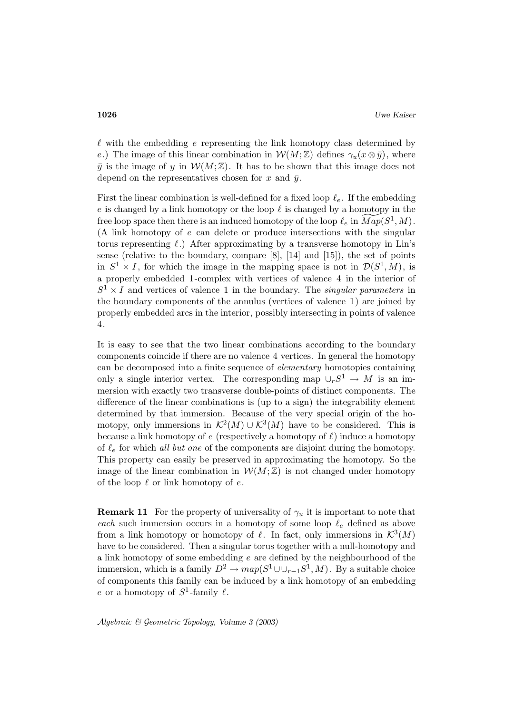$\ell$  with the embedding e representing the link homotopy class determined by e.) The image of this linear combination in  $W(M;\mathbb{Z})$  defines  $\gamma_u(x\otimes \bar{y})$ , where  $\bar{y}$  is the image of y in  $\mathcal{W}(M;\mathbb{Z})$ . It has to be shown that this image does not depend on the representatives chosen for x and  $\bar{y}$ .

First the linear combination is well-defined for a fixed loop  $\ell_e$ . If the embedding e is changed by a link homotopy or the loop  $\ell$  is changed by a homotopy in the free loop space then there is an induced homotopy of the loop  $\ell_e$  in  $\overline{Map}(S^1, M)$ . (A link homotopy of e can delete or produce intersections with the singular torus representing  $\ell$ .) After approximating by a transverse homotopy in Lin's sense (relative to the boundary, compare [8], [14] and [15]), the set of points in  $S^1 \times I$ , for which the image in the mapping space is not in  $\mathcal{D}(S^1, M)$ , is a properly embedded 1-complex with vertices of valence 4 in the interior of  $S^1 \times I$  and vertices of valence 1 in the boundary. The *singular parameters* in the boundary components of the annulus (vertices of valence 1) are joined by properly embedded arcs in the interior, possibly intersecting in points of valence 4.

It is easy to see that the two linear combinations according to the boundary components coincide if there are no valence 4 vertices. In general the homotopy can be decomposed into a finite sequence of elementary homotopies containing only a single interior vertex. The corresponding map  $\cup_r S^1 \to M$  is an immersion with exactly two transverse double-points of distinct components. The difference of the linear combinations is (up to a sign) the integrability element determined by that immersion. Because of the very special origin of the homotopy, only immersions in  $\mathcal{K}^2(M) \cup \mathcal{K}^3(M)$  have to be considered. This is because a link homotopy of  $e$  (respectively a homotopy of  $\ell$ ) induce a homotopy of  $\ell_e$  for which all but one of the components are disjoint during the homotopy. This property can easily be preserved in approximating the homotopy. So the image of the linear combination in  $W(M;\mathbb{Z})$  is not changed under homotopy of the loop  $\ell$  or link homotopy of e.

**Remark 11** For the property of universality of  $\gamma_u$  it is important to note that each such immersion occurs in a homotopy of some loop  $\ell_e$  defined as above from a link homotopy or homotopy of  $\ell$ . In fact, only immersions in  $\mathcal{K}^3(M)$ have to be considered. Then a singular torus together with a null-homotopy and a link homotopy of some embedding  $e$  are defined by the neighbourhood of the immersion, which is a family  $D^2 \to map(S^1 \cup \cup_{r-1} S^1, M)$ . By a suitable choice of components this family can be induced by a link homotopy of an embedding e or a homotopy of  $S^1$ -family  $\ell$ .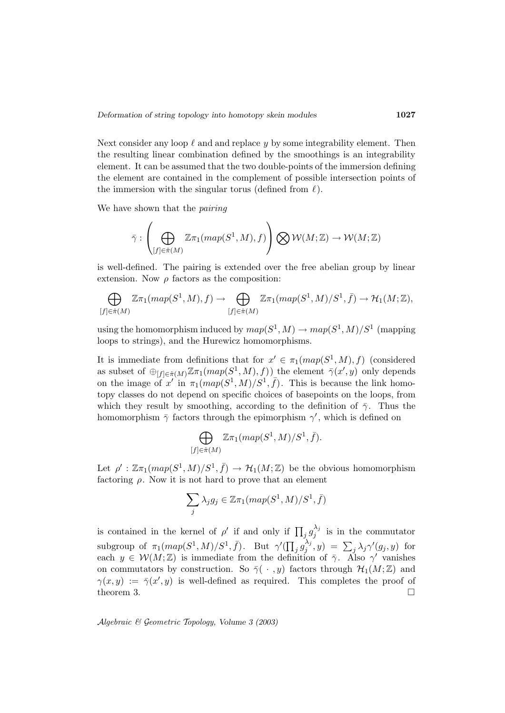Next consider any loop  $\ell$  and and replace y by some integrability element. Then the resulting linear combination defined by the smoothings is an integrability element. It can be assumed that the two double-points of the immersion defining the element are contained in the complement of possible intersection points of the immersion with the singular torus (defined from  $\ell$ ).

We have shown that the *pairing* 

$$
\bar{\gamma}: \left(\bigoplus_{[f]\in \hat{\pi}(M)}\mathbb{Z}\pi_1(map(S^1,M),f)\right)\bigotimes \mathcal{W}(M;\mathbb{Z}) \to \mathcal{W}(M;\mathbb{Z})
$$

is well-defined. The pairing is extended over the free abelian group by linear extension. Now  $\rho$  factors as the composition:

$$
\bigoplus_{[f]\in \hat{\pi}(M)} \mathbb{Z}\pi_1(\operatorname{map}(S^1, M), f) \to \bigoplus_{[f]\in \hat{\pi}(M)} \mathbb{Z}\pi_1(\operatorname{map}(S^1, M)/S^1, \bar{f}) \to \mathcal{H}_1(M; \mathbb{Z}),
$$

using the homomorphism induced by  $map(S^1, M) \to map(S^1, M)/S^1$  (mapping loops to strings), and the Hurewicz homomorphisms.

It is immediate from definitions that for  $x' \in \pi_1(map(S^1, M), f)$  (considered as subset of  $\bigoplus_{[f]\in \hat{\pi}(M)} \mathbb{Z} \pi_1(map(S^1, M), f)\big)$  the element  $\bar{\gamma}(x', y)$  only depends on the image of x' in  $\pi_1(map(S^1, M)/S^1, \bar{f})$ . This is because the link homotopy classes do not depend on specific choices of basepoints on the loops, from which they result by smoothing, according to the definition of  $\bar{\gamma}$ . Thus the homomorphism  $\bar{\gamma}$  factors through the epimorphism  $\gamma'$ , which is defined on

$$
\bigoplus_{\substack{\in \hat{\pi}(M)}} \mathbb{Z} \pi_1(map(S^1,M)/S^1,\bar{f}).
$$

Let  $\rho' : \mathbb{Z}\pi_1(map(S^1,M)/S^1,\bar{f}) \to \mathcal{H}_1(M;\mathbb{Z})$  be the obvious homomorphism factoring  $\rho$ . Now it is not hard to prove that an element

$$
\sum_j \lambda_j g_j \in \mathbb{Z}\pi_1(\text{map}(S^1, M)/S^1, \bar{f})
$$

is contained in the kernel of  $\rho'$  if and only if  $\prod_j g_j^{\lambda_j}$  is in the commutator subgroup of  $\pi_1(map(S^1,M)/S^1,\bar{f})$ . But  $\gamma'(\prod_j g_j^{\lambda_j},y) = \sum_j \lambda_j \gamma'(g_j,y)$  for each  $y \in \mathcal{W}(M;\mathbb{Z})$  is immediate from the definition of  $\bar{\gamma}$ . Also  $\gamma'$  vanishes on commutators by construction. So  $\bar{\gamma}(\,\cdot\,,y)$  factors through  $\mathcal{H}_1(M;\mathbb{Z})$  and  $\gamma(x,y) := \overline{\gamma}(x',y)$  is well-defined as required. This completes the proof of theorem 3.  $\Box$ 

Algebraic & Geometric Topology*, Volume 3 (2003)*

 $\iint$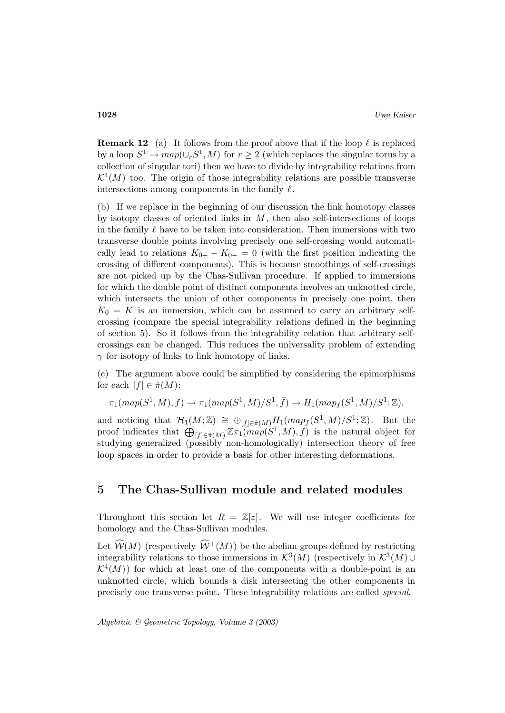**Remark 12** (a) It follows from the proof above that if the loop  $\ell$  is replaced by a loop  $S^1 \to map(\cup_r S^1, M)$  for  $r \geq 2$  (which replaces the singular torus by a collection of singular tori) then we have to divide by integrability relations from  $\mathcal{K}^4(M)$  too. The origin of those integrability relations are possible transverse intersections among components in the family  $\ell$ .

(b) If we replace in the beginning of our discussion the link homotopy classes by isotopy classes of oriented links in  $M$ , then also self-intersections of loops in the family  $\ell$  have to be taken into consideration. Then immersions with two transverse double points involving precisely one self-crossing would automatically lead to relations  $K_{0+} - K_{0-} = 0$  (with the first position indicating the crossing of different components). This is because smoothings of self-crossings are not picked up by the Chas-Sullivan procedure. If applied to immersions for which the double point of distinct components involves an unknotted circle, which intersects the union of other components in precisely one point, then  $K_0 = K$  is an immersion, which can be assumed to carry an arbitrary selfcrossing (compare the special integrability relations defined in the beginning of section 5). So it follows from the integrability relation that arbitrary selfcrossings can be changed. This reduces the universality problem of extending  $\gamma$  for isotopy of links to link homotopy of links.

(c) The argument above could be simplified by considering the epimorphisms for each  $[f] \in \hat{\pi}(M)$ :

$$
\pi_1(map(S^1,M),f) \rightarrow \pi_1(map(S^1,M)/S^1,\bar{f}) \rightarrow H_1(map_f(S^1,M)/S^1;\mathbb{Z}),
$$

and noticing that  $\mathcal{H}_1(M;\mathbb{Z}) \cong \bigoplus_{[f]\in \hat{\pi}(M)} H_1(map_f(S^1,M)/S^1;\mathbb{Z})$ . But the proof indicates that  $\bigoplus_{[f]\in \hat{\pi}(M)} \mathbb{Z} \pi_1(map(S^1, M), f)$  is the natural object for studying generalized (possibly non-homologically) intersection theory of free loop spaces in order to provide a basis for other interesting deformations.

## **5 The Chas-Sullivan module and related modules**

Throughout this section let  $R = \mathbb{Z}[z]$ . We will use integer coefficients for homology and the Chas-Sullivan modules.

Let  $\widehat{W}(M)$  (respectively  $\widehat{W}^+(M)$ ) be the abelian groups defined by restricting integrability relations to those immersions in  $\mathcal{K}^3(M)$  (respectively in  $\mathcal{K}^3(M)$ )  $\mathcal{K}^4(M)$  for which at least one of the components with a double-point is an unknotted circle, which bounds a disk intersecting the other components in precisely one transverse point. These integrability relations are called special.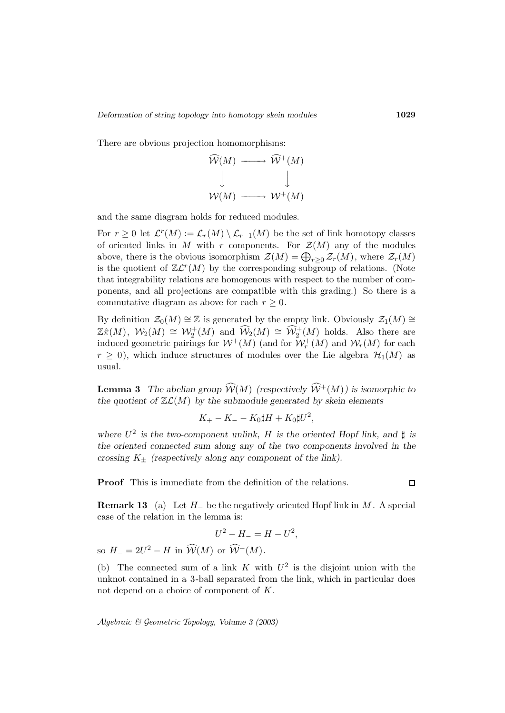There are obvious projection homomorphisms:



and the same diagram holds for reduced modules.

For  $r \geq 0$  let  $\mathcal{L}^r(M) := \mathcal{L}_r(M) \setminus \mathcal{L}_{r-1}(M)$  be the set of link homotopy classes of oriented links in M with r components. For  $\mathcal{Z}(M)$  any of the modules above, there is the obvious isomorphism  $\mathcal{Z}(M) = \bigoplus_{r \geq 0} \mathcal{Z}_r(M)$ , where  $\mathcal{Z}_r(M)$ is the quotient of  $\mathbb{Z}\mathcal{L}^r(M)$  by the corresponding subgroup of relations. (Note that integrability relations are homogenous with respect to the number of components, and all projections are compatible with this grading.) So there is a commutative diagram as above for each  $r \geq 0$ .

By definition  $\mathcal{Z}_0(M) \cong \mathbb{Z}$  is generated by the empty link. Obviously  $\mathcal{Z}_1(M) \cong \mathbb{Z}$  $\mathbb{Z}\hat{\pi}(M)$ ,  $\mathcal{W}_2(M) \cong \mathcal{W}_2^+(M)$  and  $\widehat{\mathcal{W}}_2(M) \cong \widehat{\mathcal{W}}_2^+(M)$  holds. Also there are induced geometric pairings for  $W^+(M)$  (and for  $\mathcal{W}^+_r(M)$  and  $\mathcal{W}_r(M)$  for each  $r \geq 0$ , which induce structures of modules over the Lie algebra  $\mathcal{H}_1(M)$  as usual.

**Lemma 3** The abelian group  $\widehat{W}(M)$  (respectively  $\widehat{W}^+(M)$ ) is isomorphic to the quotient of  $\mathbb{Z}\mathcal{L}(M)$  by the submodule generated by skein elements

$$
K_{+}-K_{-}-K_{0}\sharp H+K_{0}\sharp U^{2},
$$

where  $U^2$  is the two-component unlink, H is the oriented Hopf link, and  $\sharp$  is *the oriented connected sum along any of the two components involved in the crossing*  $K_{\pm}$  (respectively along any component of the link).

**Proof** This is immediate from the definition of the relations.

 $\Box$ 

**Remark 13** (a) Let  $H_-\$  be the negatively oriented Hopf link in M. A special case of the relation in the lemma is:

$$
U^2 - H_- = H - U^2,
$$
 so  $H_- = 2U^2 - H$  in  $\widehat{\mathcal{W}}(M)$  or  $\widehat{\mathcal{W}}^+(M)$ .

(b) The connected sum of a link K with  $U^2$  is the disjoint union with the unknot contained in a 3-ball separated from the link, which in particular does not depend on a choice of component of K.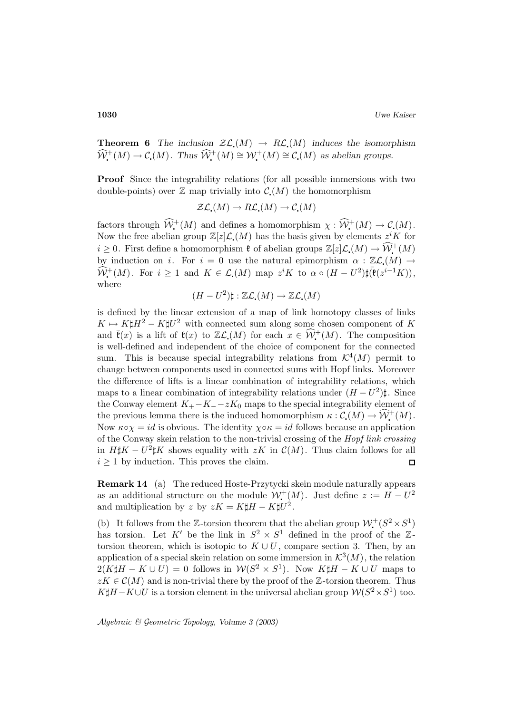**Theorem 6** The inclusion  $\mathcal{Z}\mathcal{L}(M) \to R\mathcal{L}(M)$  induces the isomorphism  $\widehat{\mathcal{W}}^+(M) \to \mathcal{C}(M)$ . Thus  $\widehat{\mathcal{W}}^+(M) \cong \mathcal{W}^+(M) \cong \mathcal{C}(M)$  as abelian groups.

**Proof** Since the integrability relations (for all possible immersions with two double-points) over  $\mathbb Z$  map trivially into  $\mathcal C(M)$  the homomorphism

$$
\mathcal{Z}\mathcal{L}_{\bullet}(M) \to R\mathcal{L}_{\bullet}(M) \to \mathcal{C}_{\bullet}(M)
$$

factors through  $\widehat{\mathcal{W}}^+(M)$  and defines a homomorphism  $\chi: \widehat{\mathcal{W}}^+(M) \to \mathcal{C}(M)$ . Now the free abelian group  $\mathbb{Z}[z]\mathcal{L}(M)$  has the basis given by elements  $z^{i}K$  for  $i \geq 0$ . First define a homomorphism  $\mathfrak{k}$  of abelian groups  $\mathbb{Z}[z]\mathcal{L}(M) \to \widehat{\mathcal{W}}^+(M)$ by induction on i. For  $i = 0$  use the natural epimorphism  $\alpha : \mathbb{Z} \mathcal{L}(M) \rightarrow$  $\widehat{\mathcal{W}}^{+}(M)$ . For  $i \geq 1$  and  $K \in \mathcal{L}(M)$  map  $z^{i}K$  to  $\alpha \circ (H - U^{2})\sharp(\mathfrak{k}(z^{i-1}K)),$ where

$$
(H-U^2)\sharp:\mathbb{Z}\mathcal{L}_\bullet(M)\to \mathbb{Z}\mathcal{L}_\bullet(M)
$$

is defined by the linear extension of a map of link homotopy classes of links  $K \mapsto K \sharp H^2 - K \sharp U^2$  with connected sum along some chosen component of K and  $\bar{\mathfrak{k}}(x)$  is a lift of  $\mathfrak{k}(x)$  to  $\mathbb{Z}\mathcal{L}(M)$  for each  $x \in \widehat{\mathcal{W}}^+(M)$ . The composition is well-defined and independent of the choice of component for the connected sum. This is because special integrability relations from  $\mathcal{K}^4(M)$  permit to change between components used in connected sums with Hopf links. Moreover the difference of lifts is a linear combination of integrability relations, which maps to a linear combination of integrability relations under  $(H - U^2)$ . Since the Conway element  $K_{+}$ − $K_{-}$ − $zK_0$  maps to the special integrability element of the previous lemma there is the induced homomorphism  $\kappa : \mathcal{C}(M) \to \widehat{\mathcal{W}}^+(M)$ . Now  $\kappa \circ \chi = id$  is obvious. The identity  $\chi \circ \kappa = id$  follows because an application of the Conway skein relation to the non-trivial crossing of the Hopf link crossing in  $H\sharp K - U^2\sharp K$  shows equality with  $zK$  in  $\mathcal{C}(M)$ . Thus claim follows for all  $i \geq 1$  by induction. This proves the claim. П

**Remark 14** (a) The reduced Hoste-Przytycki skein module naturally appears as an additional structure on the module  $\mathcal{W}^+(M)$ . Just define  $z := H - U^2$ and multiplication by z by  $zK = K\sharp H - K\sharp U^2$ .

(b) It follows from the Z-torsion theorem that the abelian group  $\mathcal{W}^+(S^2 \times S^1)$ has torsion. Let K' be the link in  $S^2 \times S^1$  defined in the proof of the Ztorsion theorem, which is isotopic to  $K \cup U$ , compare section 3. Then, by an application of a special skein relation on some immersion in  $\mathcal{K}^3(M)$ , the relation  $2(K\sharp H - K \cup U) = 0$  follows in  $W(S^2 \times S^1)$ . Now  $K\sharp H - K \cup U$  maps to  $zK \in \mathcal{C}(M)$  and is non-trivial there by the proof of the  $\mathbb{Z}$ -torsion theorem. Thus  $K\sharp H-K\cup U$  is a torsion element in the universal abelian group  $W(S^2\times S^1)$  too.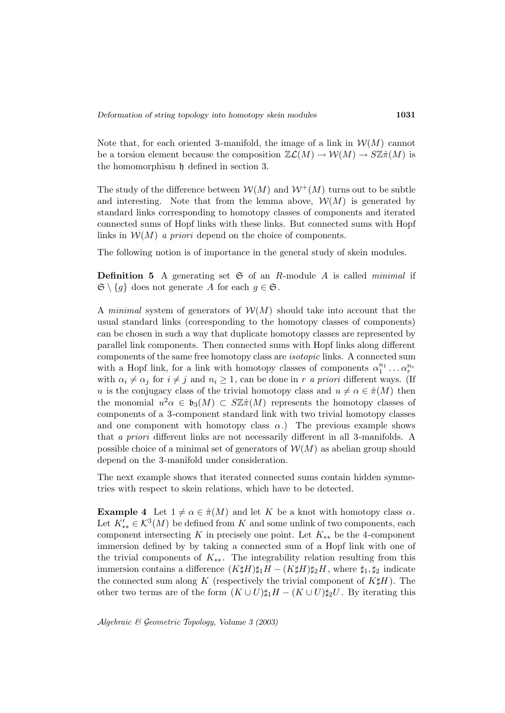Note that, for each oriented 3-manifold, the image of a link in  $\mathcal{W}(M)$  cannot be a torsion element because the composition  $\mathbb{Z}\mathcal{L}(M) \to \mathcal{W}(M) \to S\mathbb{Z}\hat{\pi}(M)$  is the homomorphism h defined in section 3.

The study of the difference between  $W(M)$  and  $W^+(M)$  turns out to be subtle and interesting. Note that from the lemma above,  $\mathcal{W}(M)$  is generated by standard links corresponding to homotopy classes of components and iterated connected sums of Hopf links with these links. But connected sums with Hopf links in  $W(M)$  a priori depend on the choice of components.

The following notion is of importance in the general study of skein modules.

**Definition 5** A generating set  $\mathfrak{S}$  of an R-module A is called *minimal* if  $\mathfrak{S} \setminus \{g\}$  does not generate A for each  $g \in \mathfrak{S}$ .

A minimal system of generators of  $W(M)$  should take into account that the usual standard links (corresponding to the homotopy classes of components) can be chosen in such a way that duplicate homotopy classes are represented by parallel link components. Then connected sums with Hopf links along different components of the same free homotopy class are isotopic links. A connected sum with a Hopf link, for a link with homotopy classes of components  $\alpha_1^{n_1} \dots \alpha_r^{n_r}$ with  $\alpha_i \neq \alpha_j$  for  $i \neq j$  and  $n_i \geq 1$ , can be done in r a priori different ways. (If u is the conjugacy class of the trivial homotopy class and  $u \neq \alpha \in \hat{\pi}(M)$  then the monomial  $u^2\alpha \in \mathfrak{b}_3(M) \subset S\mathbb{Z}\hat{\pi}(M)$  represents the homotopy classes of components of a 3-component standard link with two trivial homotopy classes and one component with homotopy class  $\alpha$ .) The previous example shows that a priori different links are not necessarily different in all 3-manifolds. A possible choice of a minimal set of generators of  $\mathcal{W}(M)$  as abelian group should depend on the 3-manifold under consideration.

The next example shows that iterated connected sums contain hidden symmetries with respect to skein relations, which have to be detected.

**Example 4** Let  $1 \neq \alpha \in \hat{\pi}(M)$  and let K be a knot with homotopy class  $\alpha$ . Let  $K'_{**} \in \mathcal{K}^3(M)$  be defined from K and some unlink of two components, each component intersecting K in precisely one point. Let  $K_{**}$  be the 4-component immersion defined by by taking a connected sum of a Hopf link with one of the trivial components of  $K_{**}$ . The integrability relation resulting from this immersion contains a difference  $(K\sharp H)\sharp_1H - (K\sharp H)\sharp_2H$ , where  $\sharp_1, \sharp_2$  indicate the connected sum along K (respectively the trivial component of  $K\sharp H$ ). The other two terms are of the form  $(K \cup U)\sharp_1 H - (K \cup U)\sharp_2 U$ . By iterating this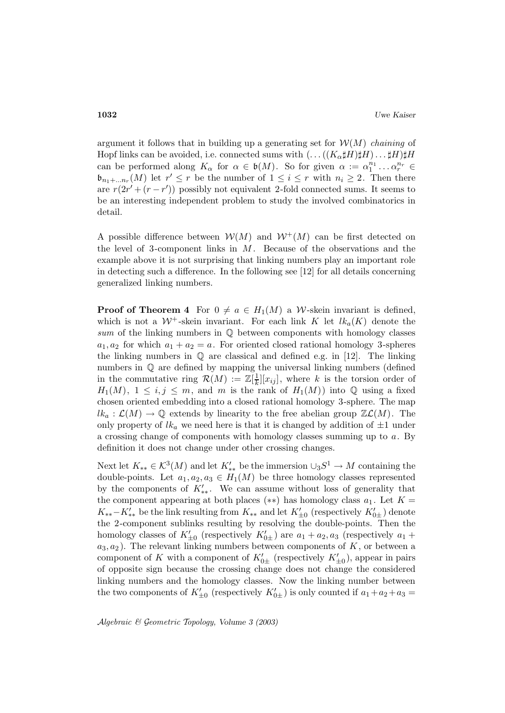argument it follows that in building up a generating set for  $W(M)$  chaining of Hopf links can be avoided, i.e. connected sums with  $(\ldots((K_{\alpha}\sharp H)\sharp H)\ldots\sharp H)\sharp H$ can be performed along  $K_{\alpha}$  for  $\alpha \in \mathfrak{b}(M)$ . So for given  $\alpha := \alpha_1^{n_1} \dots \alpha_r^{n_r} \in$  $\mathfrak{b}_{n_1+\dots n_r}(M)$  let  $r' \leq r$  be the number of  $1 \leq i \leq r$  with  $n_i \geq 2$ . Then there are  $r(2r' + (r - r'))$  possibly not equivalent 2-fold connected sums. It seems to be an interesting independent problem to study the involved combinatorics in detail.

A possible difference between  $W(M)$  and  $W^+(M)$  can be first detected on the level of 3-component links in  $M$ . Because of the observations and the example above it is not surprising that linking numbers play an important role in detecting such a difference. In the following see [12] for all details concerning generalized linking numbers.

**Proof of Theorem 4** For  $0 \neq a \in H_1(M)$  a W-skein invariant is defined, which is not a  $W^+$ -skein invariant. For each link K let  $lk_a(K)$  denote the sum of the linking numbers in  $\mathbb Q$  between components with homology classes  $a_1, a_2$  for which  $a_1 + a_2 = a$ . For oriented closed rational homology 3-spheres the linking numbers in  $\mathbb Q$  are classical and defined e.g. in [12]. The linking numbers in Q are defined by mapping the universal linking numbers (defined in the commutative ring  $\mathcal{R}(M) := \mathbb{Z}[\frac{1}{k}][x_{ij}]$ , where k is the torsion order of  $H_1(M)$ ,  $1 \leq i, j \leq m$ , and m is the rank of  $H_1(M)$  into Q using a fixed chosen oriented embedding into a closed rational homology 3-sphere. The map  $lk_{a}: \mathcal{L}(M) \to \mathbb{Q}$  extends by linearity to the free abelian group  $\mathbb{Z}\mathcal{L}(M)$ . The only property of  $lk_a$  we need here is that it is changed by addition of  $\pm 1$  under a crossing change of components with homology classes summing up to  $a$ . By definition it does not change under other crossing changes.

Next let  $K_{**} \in \mathcal{K}^3(M)$  and let  $K'_{**}$  be the immersion  $\cup_3 S^1 \to M$  containing the double-points. Let  $a_1, a_2, a_3 \in H_1(M)$  be three homology classes represented by the components of  $K'_{**}$ . We can assume without loss of generality that the component appearing at both places (\*\*) has homology class  $a_1$ . Let  $K =$  $K_{**}-K'_{**}$  be the link resulting from  $K_{**}$  and let  $K'_{\pm 0}$  (respectively  $K'_{0\pm}$ ) denote the 2-component sublinks resulting by resolving the double-points. Then the homology classes of  $K'_{\pm 0}$  (respectively  $K'_{0\pm}$ ) are  $a_1 + a_2, a_3$  (respectively  $a_1 + a_2, a_3$ )  $a_3, a_2$ ). The relevant linking numbers between components of K, or between a component of K with a component of  $K'_{0\pm}$  (respectively  $K'_{\pm 0}$ ), appear in pairs of opposite sign because the crossing change does not change the considered linking numbers and the homology classes. Now the linking number between the two components of  $K'_{\pm 0}$  (respectively  $K'_{0\pm}$ ) is only counted if  $a_1 + a_2 + a_3 =$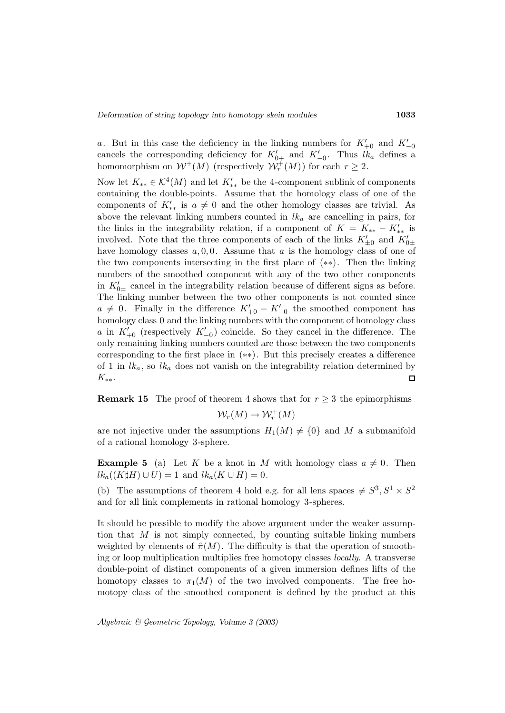a. But in this case the deficiency in the linking numbers for  $K'_{+0}$  and  $K'_{-0}$ cancels the corresponding deficiency for  $K'_{0+}$  and  $K'_{-0}$ . Thus  $lk_a$  defines a homomorphism on  $W^+(M)$  (respectively  $W^+_r(M)$ ) for each  $r \geq 2$ .

Now let  $K_{**} \in \mathcal{K}^4(M)$  and let  $K'_{**}$  be the 4-component sublink of components containing the double-points. Assume that the homology class of one of the components of  $K'_{**}$  is  $a \neq 0$  and the other homology classes are trivial. As above the relevant linking numbers counted in  $lk_a$  are cancelling in pairs, for the links in the integrability relation, if a component of  $K = K_{**} - K'_{**}$  is involved. Note that the three components of each of the links  $K'_{\pm 0}$  and  $K'_{0\pm}$ have homology classes  $a, 0, 0$ . Assume that  $a$  is the homology class of one of the two components intersecting in the first place of (∗∗). Then the linking numbers of the smoothed component with any of the two other components in  $K_{0\pm}$  cancel in the integrability relation because of different signs as before. The linking number between the two other components is not counted since  $a \neq 0$ . Finally in the difference  $K'_{+0} - K'_{-0}$  the smoothed component has homology class 0 and the linking numbers with the component of homology class a in  $K'_{+0}$  (respectively  $K'_{-0}$ ) coincide. So they cancel in the difference. The only remaining linking numbers counted are those between the two components corresponding to the first place in (∗∗). But this precisely creates a difference of 1 in  $lk_a$ , so  $lk_a$  does not vanish on the integrability relation determined by  $K_{**}.$  $\Box$ 

**Remark 15** The proof of theorem 4 shows that for  $r \geq 3$  the epimorphisms

 $\mathcal{W}_r(M) \to \mathcal{W}_r^+(M)$ 

are not injective under the assumptions  $H_1(M) \neq \{0\}$  and M a submanifold of a rational homology 3-sphere.

**Example 5** (a) Let K be a knot in M with homology class  $a \neq 0$ . Then  $lk_a((K\sharp H)\cup U)=1$  and  $lk_a(K\cup H)=0$ .

(b) The assumptions of theorem 4 hold e.g. for all lens spaces  $\neq S^3, S^1 \times S^2$ and for all link complements in rational homology 3-spheres.

It should be possible to modify the above argument under the weaker assumption that  $M$  is not simply connected, by counting suitable linking numbers weighted by elements of  $\hat{\pi}(M)$ . The difficulty is that the operation of smoothing or loop multiplication multiplies free homotopy classes locally. A transverse double-point of distinct components of a given immersion defines lifts of the homotopy classes to  $\pi_1(M)$  of the two involved components. The free homotopy class of the smoothed component is defined by the product at this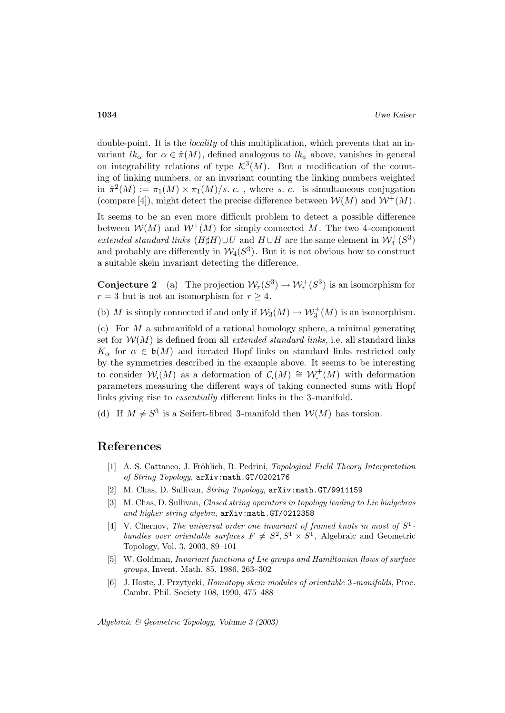double-point. It is the *locality* of this multiplication, which prevents that an invariant  $lk_{\alpha}$  for  $\alpha \in \hat{\pi}(M)$ , defined analogous to  $lk_{\alpha}$  above, vanishes in general on integrability relations of type  $\mathcal{K}^3(M)$ . But a modification of the counting of linking numbers, or an invariant counting the linking numbers weighted in  $\hat{\pi}^2(M) := \pi_1(M) \times \pi_1(M)/s$ . c., where s. c. is simultaneous conjugation (compare [4]), might detect the precise difference between  $\mathcal{W}(M)$  and  $\mathcal{W}^+(M)$ .

It seems to be an even more difficult problem to detect a possible difference between  $W(M)$  and  $W^+(M)$  for simply connected M. The two 4-component extended standard links  $(H\sharp H) \cup U$  and  $H \cup H$  are the same element in  $\mathcal{W}_4^+(S^3)$ and probably are differently in  $W_4(S^3)$ . But it is not obvious how to construct a suitable skein invariant detecting the difference.

**Conjecture 2** (a) The projection  $\mathcal{W}_r(S^3) \to \mathcal{W}_r^+(S^3)$  is an isomorphism for  $r = 3$  but is not an isomorphism for  $r \geq 4$ .

(b) M is simply connected if and only if  $W_3(M) \to W_3^+(M)$  is an isomorphism.

(c) For  $M$  a submanifold of a rational homology sphere, a minimal generating set for  $W(M)$  is defined from all *extended standard links*, i.e. all standard links  $K_{\alpha}$  for  $\alpha \in \mathfrak{b}(M)$  and iterated Hopf links on standard links restricted only by the symmetries described in the example above. It seems to be interesting to consider  $W(M)$  as a deformation of  $C(M) \cong W^+(M)$  with deformation parameters measuring the different ways of taking connected sums with Hopf links giving rise to essentially different links in the 3-manifold.

(d) If  $M \neq S^3$  is a Seifert-fibred 3-manifold then  $W(M)$  has torsion.

### **References**

- [1] A. S. Cattaneo, J. Fröhlich, B. Pedrini, *Topological Field Theory Interpretation* of String Topology, arXiv:math.GT/0202176
- [2] M. Chas, D. Sullivan, *String Topology*, arXiv:math.GT/9911159
- [3] M. Chas, D. Sullivan, Closed string operators in topology leading to Lie bialgebras and higher string algebra, arXiv:math.GT/0212358
- [4] V. Chernov, The universal order one invariant of framed knots in most of  $S^1$ bundles over orientable surfaces  $F \neq S^2$ ,  $S^1 \times S^1$ , Algebraic and Geometric Topology, Vol. 3, 2003, 89–101
- [5] W. Goldman, Invariant functions of Lie groups and Hamiltonian flows of surface groups, Invent. Math. 85, 1986, 263–302
- [6] J. Hoste, J. Przytycki, Homotopy skein modules of orientable 3-manifolds, Proc. Cambr. Phil. Society 108, 1990, 475–488